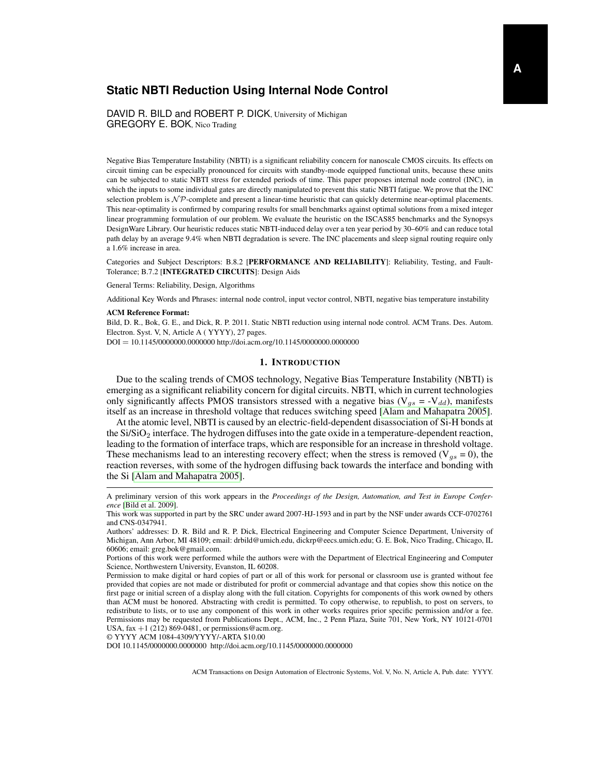# **Static NBTI Reduction Using Internal Node Control**

DAVID R. BILD and ROBERT P. DICK, University of Michigan GREGORY E. BOK, Nico Trading

Negative Bias Temperature Instability (NBTI) is a significant reliability concern for nanoscale CMOS circuits. Its effects on circuit timing can be especially pronounced for circuits with standby-mode equipped functional units, because these units can be subjected to static NBTI stress for extended periods of time. This paper proposes internal node control (INC), in which the inputs to some individual gates are directly manipulated to prevent this static NBTI fatigue. We prove that the INC selection problem is  $N \mathcal{P}$ -complete and present a linear-time heuristic that can quickly determine near-optimal placements. This near-optimality is confirmed by comparing results for small benchmarks against optimal solutions from a mixed integer linear programming formulation of our problem. We evaluate the heuristic on the ISCAS85 benchmarks and the Synopsys DesignWare Library. Our heuristic reduces static NBTI-induced delay over a ten year period by 30–60% and can reduce total path delay by an average 9.4% when NBTI degradation is severe. The INC placements and sleep signal routing require only a 1.6% increase in area.

Categories and Subject Descriptors: B.8.2 [PERFORMANCE AND RELIABILITY]: Reliability, Testing, and Fault-Tolerance; B.7.2 [INTEGRATED CIRCUITS]: Design Aids

General Terms: Reliability, Design, Algorithms

Additional Key Words and Phrases: internal node control, input vector control, NBTI, negative bias temperature instability

#### ACM Reference Format:

Bild, D. R., Bok, G. E., and Dick, R. P. 2011. Static NBTI reduction using internal node control. ACM Trans. Des. Autom. Electron. Syst. V, N, Article A ( YYYY), 27 pages.

DOI = 10.1145/0000000.0000000 http://doi.acm.org/10.1145/0000000.0000000

# 1. INTRODUCTION

Due to the scaling trends of CMOS technology, Negative Bias Temperature Instability (NBTI) is emerging as a significant reliability concern for digital circuits. NBTI, which in current technologies only significantly affects PMOS transistors stressed with a negative bias ( $V_{gs} = -V_{dd}$ ), manifests itself as an increase in threshold voltage that reduces switching speed [\[Alam and Mahapatra 2005\]](#page-25-0).

At the atomic level, NBTI is caused by an electric-field-dependent disassociation of Si-H bonds at the  $Si/SiO<sub>2</sub>$  interface. The hydrogen diffuses into the gate oxide in a temperature-dependent reaction, leading to the formation of interface traps, which are responsible for an increase in threshold voltage. These mechanisms lead to an interesting recovery effect; when the stress is removed ( $V_{gs} = 0$ ), the reaction reverses, with some of the hydrogen diffusing back towards the interface and bonding with the Si [\[Alam and Mahapatra 2005\]](#page-25-0).

© YYYY ACM 1084-4309/YYYY/-ARTA \$10.00

DOI 10.1145/0000000.0000000 http://doi.acm.org/10.1145/0000000.0000000

A preliminary version of this work appears in the *Proceedings of the Design, Automation, and Test in Europe Conference* [\[Bild et al. 2009\]](#page-25-1).

This work was supported in part by the SRC under award 2007-HJ-1593 and in part by the NSF under awards CCF-0702761 and CNS-0347941.

Authors' addresses: D. R. Bild and R. P. Dick, Electrical Engineering and Computer Science Department, University of Michigan, Ann Arbor, MI 48109; email: drbild@umich.edu, dickrp@eecs.umich.edu; G. E. Bok, Nico Trading, Chicago, IL 60606; email: greg.bok@gmail.com.

Portions of this work were performed while the authors were with the Department of Electrical Engineering and Computer Science, Northwestern University, Evanston, IL 60208.

Permission to make digital or hard copies of part or all of this work for personal or classroom use is granted without fee provided that copies are not made or distributed for profit or commercial advantage and that copies show this notice on the first page or initial screen of a display along with the full citation. Copyrights for components of this work owned by others than ACM must be honored. Abstracting with credit is permitted. To copy otherwise, to republish, to post on servers, to redistribute to lists, or to use any component of this work in other works requires prior specific permission and/or a fee. Permissions may be requested from Publications Dept., ACM, Inc., 2 Penn Plaza, Suite 701, New York, NY 10121-0701 USA, fax  $+1$  (212) 869-0481, or permissions@acm.org.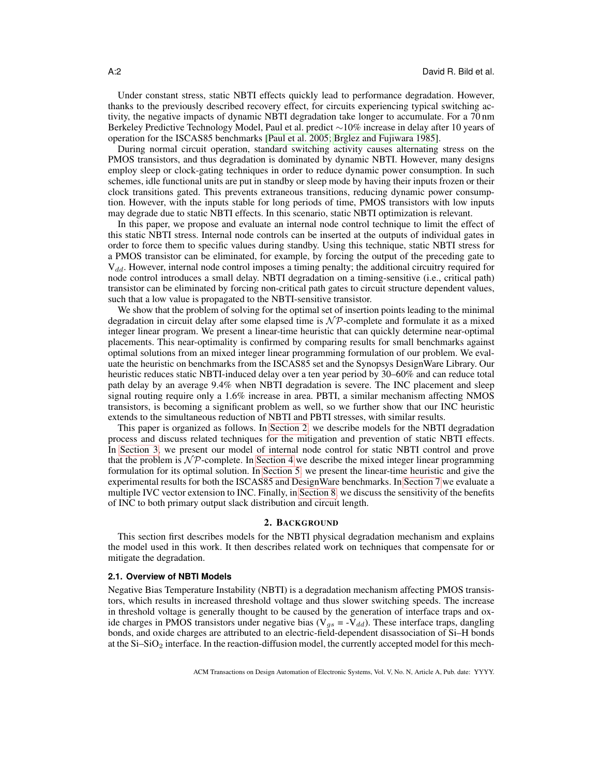Under constant stress, static NBTI effects quickly lead to performance degradation. However, thanks to the previously described recovery effect, for circuits experiencing typical switching activity, the negative impacts of dynamic NBTI degradation take longer to accumulate. For a 70 nm Berkeley Predictive Technology Model, Paul et al. predict ∼10% increase in delay after 10 years of operation for the ISCAS85 benchmarks [\[Paul et al. 2005;](#page-26-0) [Brglez and Fujiwara 1985\]](#page-25-2).

During normal circuit operation, standard switching activity causes alternating stress on the PMOS transistors, and thus degradation is dominated by dynamic NBTI. However, many designs employ sleep or clock-gating techniques in order to reduce dynamic power consumption. In such schemes, idle functional units are put in standby or sleep mode by having their inputs frozen or their clock transitions gated. This prevents extraneous transitions, reducing dynamic power consumption. However, with the inputs stable for long periods of time, PMOS transistors with low inputs may degrade due to static NBTI effects. In this scenario, static NBTI optimization is relevant.

In this paper, we propose and evaluate an internal node control technique to limit the effect of this static NBTI stress. Internal node controls can be inserted at the outputs of individual gates in order to force them to specific values during standby. Using this technique, static NBTI stress for a PMOS transistor can be eliminated, for example, by forcing the output of the preceding gate to  $V_{dd}$ . However, internal node control imposes a timing penalty; the additional circuitry required for node control introduces a small delay. NBTI degradation on a timing-sensitive (i.e., critical path) transistor can be eliminated by forcing non-critical path gates to circuit structure dependent values, such that a low value is propagated to the NBTI-sensitive transistor.

We show that the problem of solving for the optimal set of insertion points leading to the minimal degradation in circuit delay after some elapsed time is  $N\mathcal{P}$ -complete and formulate it as a mixed integer linear program. We present a linear-time heuristic that can quickly determine near-optimal placements. This near-optimality is confirmed by comparing results for small benchmarks against optimal solutions from an mixed integer linear programming formulation of our problem. We evaluate the heuristic on benchmarks from the ISCAS85 set and the Synopsys DesignWare Library. Our heuristic reduces static NBTI-induced delay over a ten year period by 30–60% and can reduce total path delay by an average 9.4% when NBTI degradation is severe. The INC placement and sleep signal routing require only a 1.6% increase in area. PBTI, a similar mechanism affecting NMOS transistors, is becoming a significant problem as well, so we further show that our INC heuristic extends to the simultaneous reduction of NBTI and PBTI stresses, with similar results.

This paper is organized as follows. In [Section 2,](#page-1-0) we describe models for the NBTI degradation process and discuss related techniques for the mitigation and prevention of static NBTI effects. In [Section 3,](#page-5-0) we present our model of internal node control for static NBTI control and prove that the problem is  $\mathcal{NP}$ -complete. In [Section 4](#page-11-0) we describe the mixed integer linear programming formulation for its optimal solution. In [Section 5,](#page-12-0) we present the linear-time heuristic and give the experimental results for both the ISCAS85 and DesignWare benchmarks. In [Section 7](#page-21-0) we evaluate a multiple IVC vector extension to INC. Finally, in [Section 8,](#page-22-0) we discuss the sensitivity of the benefits of INC to both primary output slack distribution and circuit length.

# 2. BACKGROUND

<span id="page-1-0"></span>This section first describes models for the NBTI physical degradation mechanism and explains the model used in this work. It then describes related work on techniques that compensate for or mitigate the degradation.

# <span id="page-1-1"></span>**2.1. Overview of NBTI Models**

Negative Bias Temperature Instability (NBTI) is a degradation mechanism affecting PMOS transistors, which results in increased threshold voltage and thus slower switching speeds. The increase in threshold voltage is generally thought to be caused by the generation of interface traps and oxide charges in PMOS transistors under negative bias ( $V_{gs} = -V_{dd}$ ). These interface traps, dangling bonds, and oxide charges are attributed to an electric-field-dependent disassociation of Si–H bonds at the  $Si-SiO<sub>2</sub>$  interface. In the reaction-diffusion model, the currently accepted model for this mech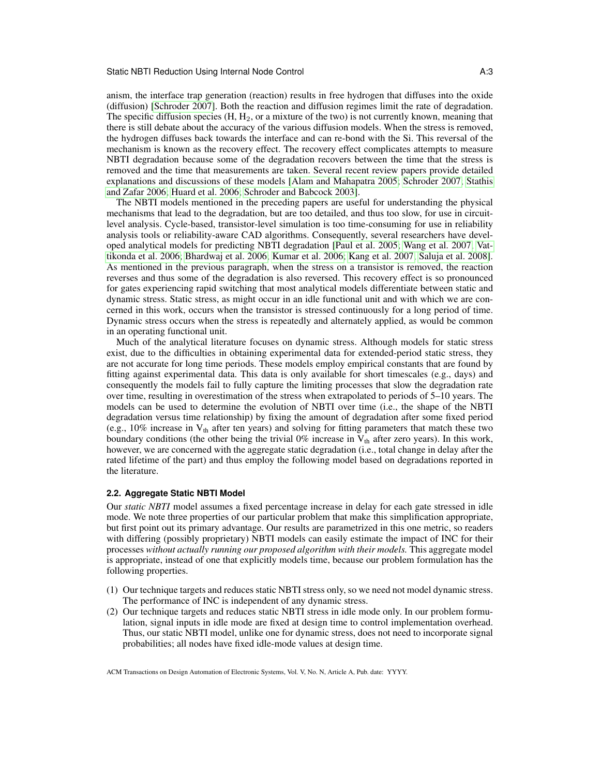anism, the interface trap generation (reaction) results in free hydrogen that diffuses into the oxide (diffusion) [\[Schroder 2007\]](#page-26-1). Both the reaction and diffusion regimes limit the rate of degradation. The specific diffusion species  $(H, H<sub>2</sub>)$ , or a mixture of the two) is not currently known, meaning that there is still debate about the accuracy of the various diffusion models. When the stress is removed, the hydrogen diffuses back towards the interface and can re-bond with the Si. This reversal of the mechanism is known as the recovery effect. The recovery effect complicates attempts to measure NBTI degradation because some of the degradation recovers between the time that the stress is removed and the time that measurements are taken. Several recent review papers provide detailed explanations and discussions of these models [\[Alam and Mahapatra 2005;](#page-25-0) [Schroder 2007;](#page-26-1) [Stathis](#page-26-2) [and Zafar 2006;](#page-26-2) [Huard et al. 2006;](#page-26-3) [Schroder and Babcock 2003\]](#page-26-4).

The NBTI models mentioned in the preceding papers are useful for understanding the physical mechanisms that lead to the degradation, but are too detailed, and thus too slow, for use in circuitlevel analysis. Cycle-based, transistor-level simulation is too time-consuming for use in reliability analysis tools or reliability-aware CAD algorithms. Consequently, several researchers have developed analytical models for predicting NBTI degradation [\[Paul et al. 2005;](#page-26-0) [Wang et al. 2007;](#page-26-5) [Vat](#page-26-6)[tikonda et al. 2006;](#page-26-6) [Bhardwaj et al. 2006;](#page-25-3) [Kumar et al. 2006;](#page-26-7) [Kang et al. 2007;](#page-26-8) [Saluja et al. 2008\]](#page-26-9). As mentioned in the previous paragraph, when the stress on a transistor is removed, the reaction reverses and thus some of the degradation is also reversed. This recovery effect is so pronounced for gates experiencing rapid switching that most analytical models differentiate between static and dynamic stress. Static stress, as might occur in an idle functional unit and with which we are concerned in this work, occurs when the transistor is stressed continuously for a long period of time. Dynamic stress occurs when the stress is repeatedly and alternately applied, as would be common in an operating functional unit.

Much of the analytical literature focuses on dynamic stress. Although models for static stress exist, due to the difficulties in obtaining experimental data for extended-period static stress, they are not accurate for long time periods. These models employ empirical constants that are found by fitting against experimental data. This data is only available for short timescales (e.g., days) and consequently the models fail to fully capture the limiting processes that slow the degradation rate over time, resulting in overestimation of the stress when extrapolated to periods of 5–10 years. The models can be used to determine the evolution of NBTI over time (i.e., the shape of the NBTI degradation versus time relationship) by fixing the amount of degradation after some fixed period (e.g., 10% increase in  $V_{th}$  after ten years) and solving for fitting parameters that match these two boundary conditions (the other being the trivial  $0\%$  increase in  $V_{th}$  after zero years). In this work, however, we are concerned with the aggregate static degradation (i.e., total change in delay after the rated lifetime of the part) and thus employ the following model based on degradations reported in the literature.

### **2.2. Aggregate Static NBTI Model**

Our *static NBTI* model assumes a fixed percentage increase in delay for each gate stressed in idle mode. We note three properties of our particular problem that make this simplification appropriate, but first point out its primary advantage. Our results are parametrized in this one metric, so readers with differing (possibly proprietary) NBTI models can easily estimate the impact of INC for their processes *without actually running our proposed algorithm with their models.* This aggregate model is appropriate, instead of one that explicitly models time, because our problem formulation has the following properties.

- (1) Our technique targets and reduces static NBTI stress only, so we need not model dynamic stress. The performance of INC is independent of any dynamic stress.
- (2) Our technique targets and reduces static NBTI stress in idle mode only. In our problem formulation, signal inputs in idle mode are fixed at design time to control implementation overhead. Thus, our static NBTI model, unlike one for dynamic stress, does not need to incorporate signal probabilities; all nodes have fixed idle-mode values at design time.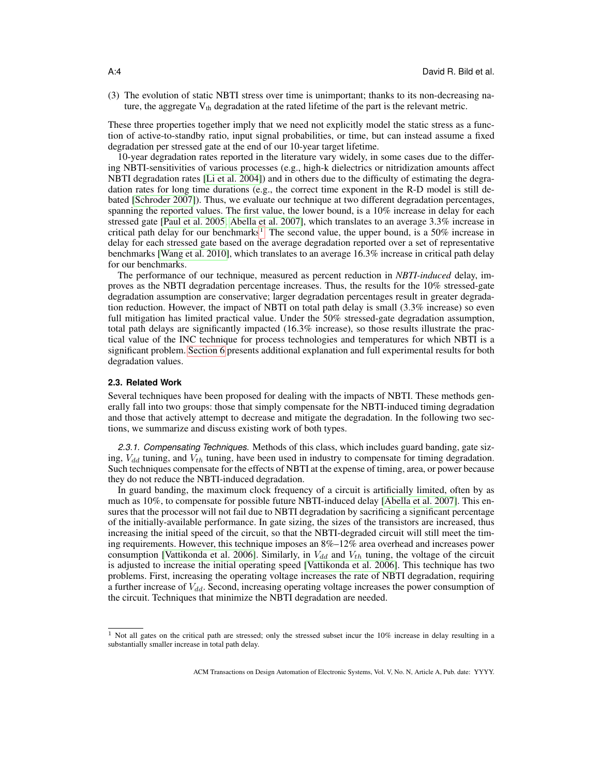(3) The evolution of static NBTI stress over time is unimportant; thanks to its non-decreasing nature, the aggregate  $V_{th}$  degradation at the rated lifetime of the part is the relevant metric.

These three properties together imply that we need not explicitly model the static stress as a function of active-to-standby ratio, input signal probabilities, or time, but can instead assume a fixed degradation per stressed gate at the end of our 10-year target lifetime.

10-year degradation rates reported in the literature vary widely, in some cases due to the differing NBTI-sensitivities of various processes (e.g., high-k dielectrics or nitridization amounts affect NBTI degradation rates [\[Li et al. 2004\]](#page-26-10)) and in others due to the difficulty of estimating the degradation rates for long time durations (e.g., the correct time exponent in the R-D model is still debated [\[Schroder 2007\]](#page-26-1)). Thus, we evaluate our technique at two different degradation percentages, spanning the reported values. The first value, the lower bound, is a 10% increase in delay for each stressed gate [\[Paul et al. 2005;](#page-26-0) [Abella et al. 2007\]](#page-25-4), which translates to an average 3.3% increase in critical path delay for our benchmarks<sup>[1](#page-3-0)</sup>. The second value, the upper bound, is a 50% increase in delay for each stressed gate based on the average degradation reported over a set of representative benchmarks [\[Wang et al. 2010\]](#page-26-11), which translates to an average 16.3% increase in critical path delay for our benchmarks.

The performance of our technique, measured as percent reduction in *NBTI-induced* delay, improves as the NBTI degradation percentage increases. Thus, the results for the 10% stressed-gate degradation assumption are conservative; larger degradation percentages result in greater degradation reduction. However, the impact of NBTI on total path delay is small (3.3% increase) so even full mitigation has limited practical value. Under the 50% stressed-gate degradation assumption, total path delays are significantly impacted (16.3% increase), so those results illustrate the practical value of the INC technique for process technologies and temperatures for which NBTI is a significant problem. [Section 6](#page-15-0) presents additional explanation and full experimental results for both degradation values.

# **2.3. Related Work**

Several techniques have been proposed for dealing with the impacts of NBTI. These methods generally fall into two groups: those that simply compensate for the NBTI-induced timing degradation and those that actively attempt to decrease and mitigate the degradation. In the following two sections, we summarize and discuss existing work of both types.

*2.3.1. Compensating Techniques.* Methods of this class, which includes guard banding, gate sizing,  $V_{dd}$  tuning, and  $V_{th}$  tuning, have been used in industry to compensate for timing degradation. Such techniques compensate for the effects of NBTI at the expense of timing, area, or power because they do not reduce the NBTI-induced degradation.

In guard banding, the maximum clock frequency of a circuit is artificially limited, often by as much as 10%, to compensate for possible future NBTI-induced delay [\[Abella et al. 2007\]](#page-25-4). This ensures that the processor will not fail due to NBTI degradation by sacrificing a significant percentage of the initially-available performance. In gate sizing, the sizes of the transistors are increased, thus increasing the initial speed of the circuit, so that the NBTI-degraded circuit will still meet the timing requirements. However, this technique imposes an 8%–12% area overhead and increases power consumption [\[Vattikonda et al. 2006\]](#page-26-6). Similarly, in  $V_{dd}$  and  $V_{th}$  tuning, the voltage of the circuit is adjusted to increase the initial operating speed [\[Vattikonda et al. 2006\]](#page-26-6). This technique has two problems. First, increasing the operating voltage increases the rate of NBTI degradation, requiring a further increase of  $V_{dd}$ . Second, increasing operating voltage increases the power consumption of the circuit. Techniques that minimize the NBTI degradation are needed.

<span id="page-3-1"></span><span id="page-3-0"></span><sup>&</sup>lt;sup>1</sup> Not all gates on the critical path are stressed; only the stressed subset incur the 10% increase in delay resulting in a substantially smaller increase in total path delay.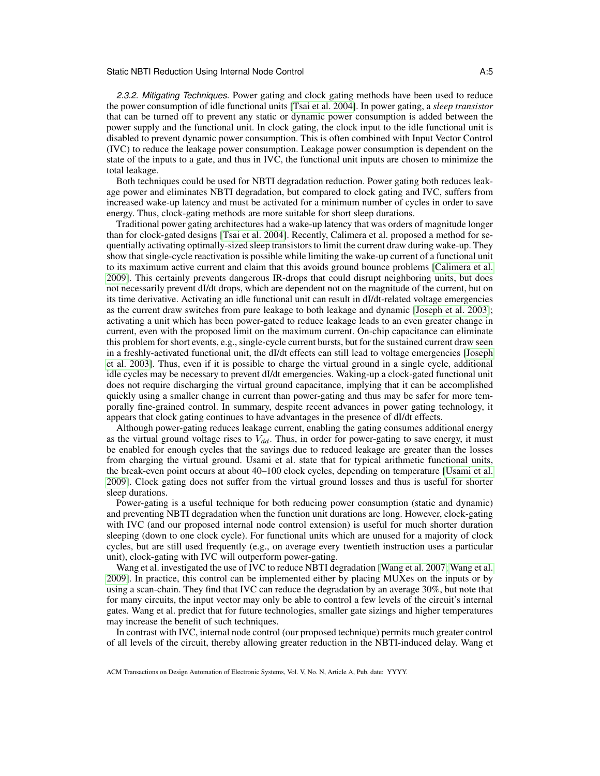#### Static NBTI Reduction Using Internal Node Control **A:5** A:5

*2.3.2. Mitigating Techniques.* Power gating and clock gating methods have been used to reduce the power consumption of idle functional units [\[Tsai et al. 2004\]](#page-26-12). In power gating, a *sleep transistor* that can be turned off to prevent any static or dynamic power consumption is added between the power supply and the functional unit. In clock gating, the clock input to the idle functional unit is disabled to prevent dynamic power consumption. This is often combined with Input Vector Control (IVC) to reduce the leakage power consumption. Leakage power consumption is dependent on the state of the inputs to a gate, and thus in IVC, the functional unit inputs are chosen to minimize the total leakage.

Both techniques could be used for NBTI degradation reduction. Power gating both reduces leakage power and eliminates NBTI degradation, but compared to clock gating and IVC, suffers from increased wake-up latency and must be activated for a minimum number of cycles in order to save energy. Thus, clock-gating methods are more suitable for short sleep durations.

Traditional power gating architectures had a wake-up latency that was orders of magnitude longer than for clock-gated designs [\[Tsai et al. 2004\]](#page-26-12). Recently, Calimera et al. proposed a method for sequentially activating optimally-sized sleep transistors to limit the current draw during wake-up. They show that single-cycle reactivation is possible while limiting the wake-up current of a functional unit to its maximum active current and claim that this avoids ground bounce problems [\[Calimera et al.](#page-25-5) [2009\]](#page-25-5). This certainly prevents dangerous IR-drops that could disrupt neighboring units, but does not necessarily prevent dI/dt drops, which are dependent not on the magnitude of the current, but on its time derivative. Activating an idle functional unit can result in dI/dt-related voltage emergencies as the current draw switches from pure leakage to both leakage and dynamic [\[Joseph et al. 2003\]](#page-26-13); activating a unit which has been power-gated to reduce leakage leads to an even greater change in current, even with the proposed limit on the maximum current. On-chip capacitance can eliminate this problem for short events, e.g., single-cycle current bursts, but for the sustained current draw seen in a freshly-activated functional unit, the dI/dt effects can still lead to voltage emergencies [\[Joseph](#page-26-13) [et al. 2003\]](#page-26-13). Thus, even if it is possible to charge the virtual ground in a single cycle, additional idle cycles may be necessary to prevent dI/dt emergencies. Waking-up a clock-gated functional unit does not require discharging the virtual ground capacitance, implying that it can be accomplished quickly using a smaller change in current than power-gating and thus may be safer for more temporally fine-grained control. In summary, despite recent advances in power gating technology, it appears that clock gating continues to have advantages in the presence of dI/dt effects.

Although power-gating reduces leakage current, enabling the gating consumes additional energy as the virtual ground voltage rises to  $V_{dd}$ . Thus, in order for power-gating to save energy, it must be enabled for enough cycles that the savings due to reduced leakage are greater than the losses from charging the virtual ground. Usami et al. state that for typical arithmetic functional units, the break-even point occurs at about 40–100 clock cycles, depending on temperature [\[Usami et al.](#page-26-14) [2009\]](#page-26-14). Clock gating does not suffer from the virtual ground losses and thus is useful for shorter sleep durations.

Power-gating is a useful technique for both reducing power consumption (static and dynamic) and preventing NBTI degradation when the function unit durations are long. However, clock-gating with IVC (and our proposed internal node control extension) is useful for much shorter duration sleeping (down to one clock cycle). For functional units which are unused for a majority of clock cycles, but are still used frequently (e.g., on average every twentieth instruction uses a particular unit), clock-gating with IVC will outperform power-gating.

Wang et al. investigated the use of IVC to reduce NBTI degradation [\[Wang et al. 2007;](#page-26-5) [Wang et al.](#page-26-15) [2009\]](#page-26-15). In practice, this control can be implemented either by placing MUXes on the inputs or by using a scan-chain. They find that IVC can reduce the degradation by an average 30%, but note that for many circuits, the input vector may only be able to control a few levels of the circuit's internal gates. Wang et al. predict that for future technologies, smaller gate sizings and higher temperatures may increase the benefit of such techniques.

In contrast with IVC, internal node control (our proposed technique) permits much greater control of all levels of the circuit, thereby allowing greater reduction in the NBTI-induced delay. Wang et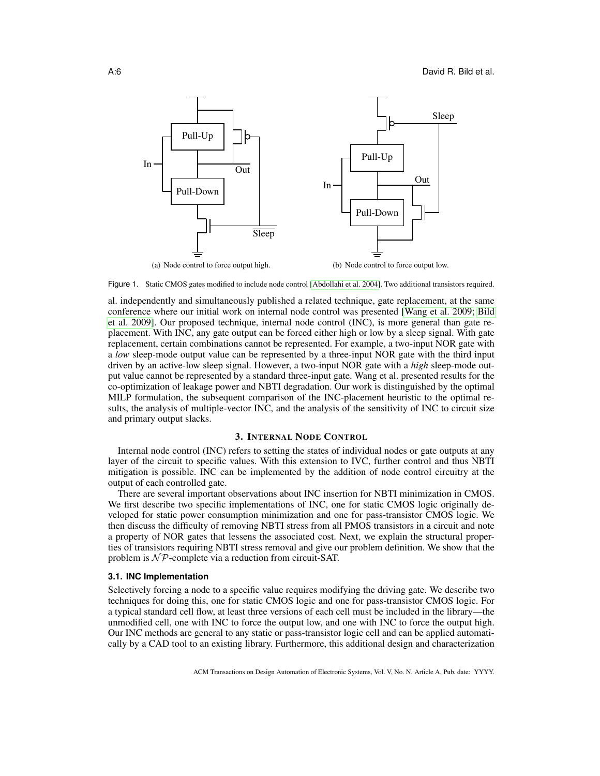

Figure 1. Static CMOS gates modified to include node control [\[Abdollahi et al. 2004\]](#page-25-6). Two additional transistors required.

al. independently and simultaneously published a related technique, gate replacement, at the same conference where our initial work on internal node control was presented [\[Wang et al. 2009;](#page-26-16) [Bild](#page-25-1) [et al. 2009\]](#page-25-1). Our proposed technique, internal node control (INC), is more general than gate replacement. With INC, any gate output can be forced either high or low by a sleep signal. With gate replacement, certain combinations cannot be represented. For example, a two-input NOR gate with a *low* sleep-mode output value can be represented by a three-input NOR gate with the third input driven by an active-low sleep signal. However, a two-input NOR gate with a *high* sleep-mode output value cannot be represented by a standard three-input gate. Wang et al. presented results for the co-optimization of leakage power and NBTI degradation. Our work is distinguished by the optimal MILP formulation, the subsequent comparison of the INC-placement heuristic to the optimal results, the analysis of multiple-vector INC, and the analysis of the sensitivity of INC to circuit size and primary output slacks.

# <span id="page-5-1"></span>3. INTERNAL NODE CONTROL

<span id="page-5-0"></span>Internal node control (INC) refers to setting the states of individual nodes or gate outputs at any layer of the circuit to specific values. With this extension to IVC, further control and thus NBTI mitigation is possible. INC can be implemented by the addition of node control circuitry at the output of each controlled gate.

There are several important observations about INC insertion for NBTI minimization in CMOS. We first describe two specific implementations of INC, one for static CMOS logic originally developed for static power consumption minimization and one for pass-transistor CMOS logic. We then discuss the difficulty of removing NBTI stress from all PMOS transistors in a circuit and note a property of NOR gates that lessens the associated cost. Next, we explain the structural properties of transistors requiring NBTI stress removal and give our problem definition. We show that the problem is  $N \mathcal{P}$ -complete via a reduction from circuit-SAT.

### **3.1. INC Implementation**

Selectively forcing a node to a specific value requires modifying the driving gate. We describe two techniques for doing this, one for static CMOS logic and one for pass-transistor CMOS logic. For a typical standard cell flow, at least three versions of each cell must be included in the library—the unmodified cell, one with INC to force the output low, and one with INC to force the output high. Our INC methods are general to any static or pass-transistor logic cell and can be applied automatically by a CAD tool to an existing library. Furthermore, this additional design and characterization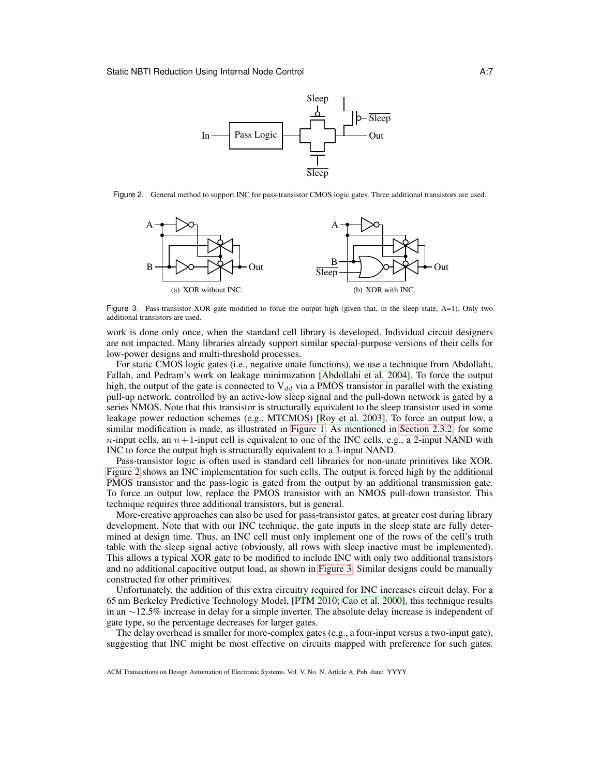<span id="page-6-1"></span><span id="page-6-0"></span>

Figure 2. General method to support INC for pass-transistor CMOS logic gates. Three additional transistors are used.



Figure 3. Pass-transistor XOR gate modified to force the output high (given that, in the sleep state, A=1). Only two additional transistors are used.

work is done only once, when the standard cell library is developed. Individual circuit designers are not impacted. Many libraries already support similar special-purpose versions of their cells for low-power designs and multi-threshold processes.

For static CMOS logic gates (i.e., negative unate functions), we use a technique from Abdollahi, Fallah, and Pedram's work on leakage minimization [\[Abdollahi et al. 2004\]](#page-25-6). To force the output high, the output of the gate is connected to  $V_{dd}$  via a PMOS transistor in parallel with the existing pull-up network, controlled by an active-low sleep signal and the pull-down network is gated by a series NMOS. Note that this transistor is structurally equivalent to the sleep transistor used in some leakage power reduction schemes (e.g., MTCMOS) [\[Roy et al. 2003\]](#page-26-17). To force an output low, a similar modification is made, as illustrated in [Figure 1.](#page-5-1) As mentioned in [Section 2.3.2,](#page-3-1) for some *n*-input cells, an  $n+1$ -input cell is equivalent to one of the INC cells, e.g., a 2-input NAND with INC to force the output high is structurally equivalent to a 3-input NAND.

Pass-transistor logic is often used is standard cell libraries for non-unate primitives like XOR. [Figure 2](#page-6-0) shows an INC implementation for such cells. The output is forced high by the additional PMOS transistor and the pass-logic is gated from the output by an additional transmission gate. To force an output low, replace the PMOS transistor with an NMOS pull-down transistor. This technique requires three additional transistors, but is general.

More-creative approaches can also be used for pass-transistor gates, at greater cost during library development. Note that with our INC technique, the gate inputs in the sleep state are fully determined at design time. Thus, an INC cell must only implement one of the rows of the cell's truth table with the sleep signal active (obviously, all rows with sleep inactive must be implemented). This allows a typical XOR gate to be modified to include INC with only two additional transistors and no additional capacitive output load, as shown in [Figure 3.](#page-6-1) Similar designs could be manually constructed for other primitives.

Unfortunately, the addition of this extra circuitry required for INC increases circuit delay. For a 65 nm Berkeley Predictive Technology Model, [\[PTM 2010;](#page-26-18) [Cao et al. 2000\]](#page-25-7), this technique results in an ∼12.5% increase in delay for a simple inverter. The absolute delay increase is independent of gate type, so the percentage decreases for larger gates.

The delay overhead is smaller for more-complex gates (e.g., a four-input versus a two-input gate), suggesting that INC might be most effective on circuits mapped with preference for such gates.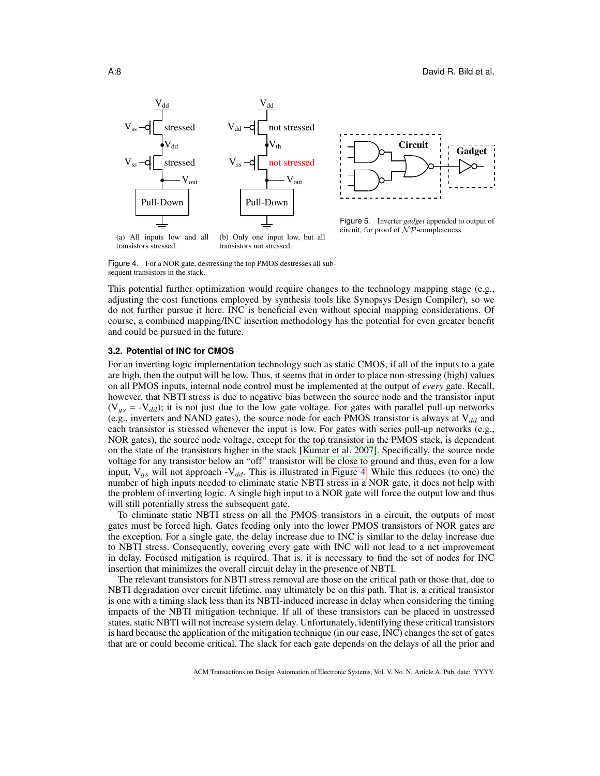

<span id="page-7-1"></span><span id="page-7-0"></span>Figure 4. For a NOR gate, destressing the top PMOS destresses all subsequent transistors in the stack.

This potential further optimization would require changes to the technology mapping stage (e.g., adjusting the cost functions employed by synthesis tools like Synopsys Design Compiler), so we do not further pursue it here. INC is beneficial even without special mapping considerations. Of course, a combined mapping/INC insertion methodology has the potential for even greater benefit and could be pursued in the future.

#### **3.2. Potential of INC for CMOS**

For an inverting logic implementation technology such as static CMOS, if all of the inputs to a gate are high, then the output will be low. Thus, it seems that in order to place non-stressing (high) values on all PMOS inputs, internal node control must be implemented at the output of *every* gate. Recall, however, that NBTI stress is due to negative bias between the source node and the transistor input  $(V_{gs} = -V_{dd})$ ; it is not just due to the low gate voltage. For gates with parallel pull-up networks (e.g., inverters and NAND gates), the source node for each PMOS transistor is always at  $V_{dd}$  and each transistor is stressed whenever the input is low. For gates with series pull-up networks (e.g., NOR gates), the source node voltage, except for the top transistor in the PMOS stack, is dependent on the state of the transistors higher in the stack [\[Kumar et al. 2007\]](#page-26-19). Specifically, the source node voltage for any transistor below an "off" transistor will be close to ground and thus, even for a low input,  $V_{qs}$  will not approach  $-V_{dd}$ . This is illustrated in [Figure 4.](#page-7-0) While this reduces (to one) the number of high inputs needed to eliminate static NBTI stress in a NOR gate, it does not help with the problem of inverting logic. A single high input to a NOR gate will force the output low and thus will still potentially stress the subsequent gate.

To eliminate static NBTI stress on all the PMOS transistors in a circuit, the outputs of most gates must be forced high. Gates feeding only into the lower PMOS transistors of NOR gates are the exception. For a single gate, the delay increase due to INC is similar to the delay increase due to NBTI stress. Consequently, covering every gate with INC will not lead to a net improvement in delay. Focused mitigation is required. That is, it is necessary to find the set of nodes for INC insertion that minimizes the overall circuit delay in the presence of NBTI.

The relevant transistors for NBTI stress removal are those on the critical path or those that, due to NBTI degradation over circuit lifetime, may ultimately be on this path. That is, a critical transistor is one with a timing slack less than its NBTI-induced increase in delay when considering the timing impacts of the NBTI mitigation technique. If all of these transistors can be placed in unstressed states, static NBTI will not increase system delay. Unfortunately, identifying these critical transistors is hard because the application of the mitigation technique (in our case, INC) changes the set of gates that are or could become critical. The slack for each gate depends on the delays of all the prior and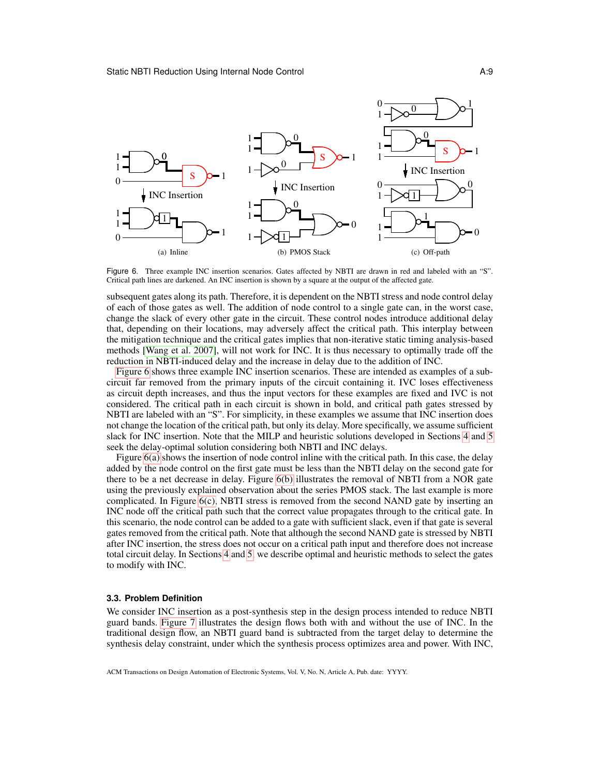<span id="page-8-1"></span>

<span id="page-8-3"></span><span id="page-8-2"></span><span id="page-8-0"></span>Figure 6. Three example INC insertion scenarios. Gates affected by NBTI are drawn in red and labeled with an "S". Critical path lines are darkened. An INC insertion is shown by a square at the output of the affected gate.

subsequent gates along its path. Therefore, it is dependent on the NBTI stress and node control delay of each of those gates as well. The addition of node control to a single gate can, in the worst case, change the slack of every other gate in the circuit. These control nodes introduce additional delay that, depending on their locations, may adversely affect the critical path. This interplay between the mitigation technique and the critical gates implies that non-iterative static timing analysis-based methods [\[Wang et al. 2007\]](#page-26-20), will not work for INC. It is thus necessary to optimally trade off the reduction in NBTI-induced delay and the increase in delay due to the addition of INC.

[Figure 6](#page-8-0) shows three example INC insertion scenarios. These are intended as examples of a subcircuit far removed from the primary inputs of the circuit containing it. IVC loses effectiveness as circuit depth increases, and thus the input vectors for these examples are fixed and IVC is not considered. The critical path in each circuit is shown in bold, and critical path gates stressed by NBTI are labeled with an "S". For simplicity, in these examples we assume that INC insertion does not change the location of the critical path, but only its delay. More specifically, we assume sufficient slack for INC insertion. Note that the MILP and heuristic solutions developed in Sections [4](#page-11-0) and [5](#page-12-0) seek the delay-optimal solution considering both NBTI and INC delays.

Figure [6\(a\)](#page-8-1) shows the insertion of node control inline with the critical path. In this case, the delay added by the node control on the first gate must be less than the NBTI delay on the second gate for there to be a net decrease in delay. Figure [6\(b\)](#page-8-2) illustrates the removal of NBTI from a NOR gate using the previously explained observation about the series PMOS stack. The last example is more complicated. In Figure  $6(c)$ , NBTI stress is removed from the second NAND gate by inserting an INC node off the critical path such that the correct value propagates through to the critical gate. In this scenario, the node control can be added to a gate with sufficient slack, even if that gate is several gates removed from the critical path. Note that although the second NAND gate is stressed by NBTI after INC insertion, the stress does not occur on a critical path input and therefore does not increase total circuit delay. In Sections [4](#page-11-0) and [5,](#page-12-0) we describe optimal and heuristic methods to select the gates to modify with INC.

# **3.3. Problem Definition**

We consider INC insertion as a post-synthesis step in the design process intended to reduce NBTI guard bands. [Figure 7](#page-9-0) illustrates the design flows both with and without the use of INC. In the traditional design flow, an NBTI guard band is subtracted from the target delay to determine the synthesis delay constraint, under which the synthesis process optimizes area and power. With INC,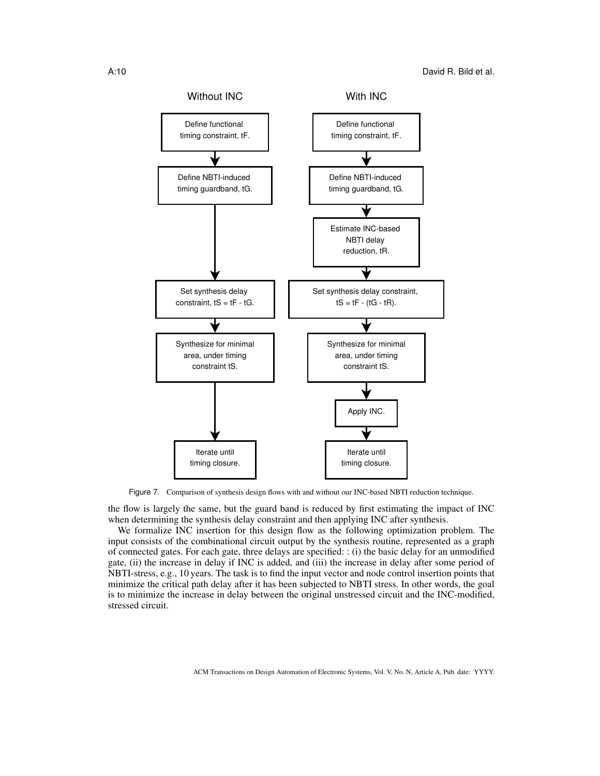

<span id="page-9-0"></span>Figure 7. Comparison of synthesis design flows with and without our INC-based NBTI reduction technique.

the flow is largely the same, but the guard band is reduced by first estimating the impact of INC when determining the synthesis delay constraint and then applying INC after synthesis.

We formalize INC insertion for this design flow as the following optimization problem. The input consists of the combinational circuit output by the synthesis routine, represented as a graph of connected gates. For each gate, three delays are specified: : (i) the basic delay for an unmodified gate, (ii) the increase in delay if INC is added, and (iii) the increase in delay after some period of NBTI-stress, e.g., 10 years. The task is to find the input vector and node control insertion points that minimize the critical path delay after it has been subjected to NBTI stress. In other words, the goal is to minimize the increase in delay between the original unstressed circuit and the INC-modified, stressed circuit.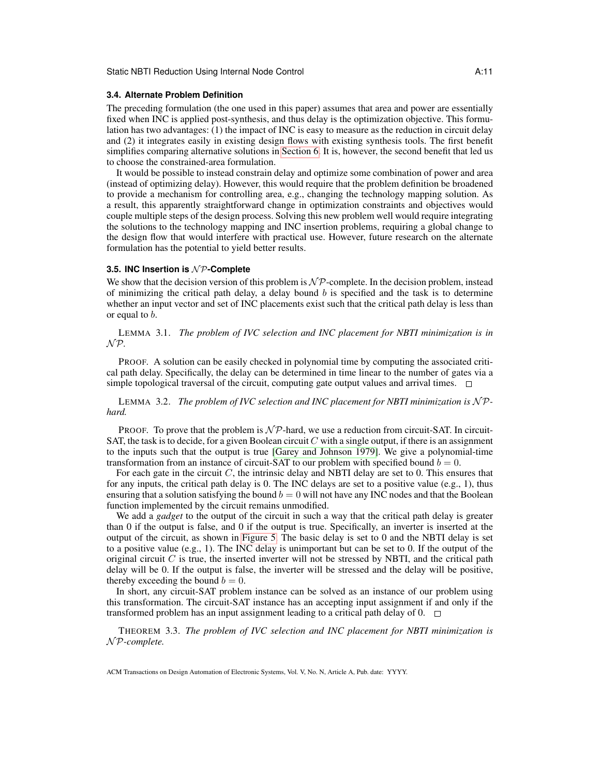# **3.4. Alternate Problem Definition**

The preceding formulation (the one used in this paper) assumes that area and power are essentially fixed when INC is applied post-synthesis, and thus delay is the optimization objective. This formulation has two advantages: (1) the impact of INC is easy to measure as the reduction in circuit delay and (2) it integrates easily in existing design flows with existing synthesis tools. The first benefit simplifies comparing alternative solutions in [Section 6.](#page-15-0) It is, however, the second benefit that led us to choose the constrained-area formulation.

It would be possible to instead constrain delay and optimize some combination of power and area (instead of optimizing delay). However, this would require that the problem definition be broadened to provide a mechanism for controlling area, e.g., changing the technology mapping solution. As a result, this apparently straightforward change in optimization constraints and objectives would couple multiple steps of the design process. Solving this new problem well would require integrating the solutions to the technology mapping and INC insertion problems, requiring a global change to the design flow that would interfere with practical use. However, future research on the alternate formulation has the potential to yield better results.

# **3.5. INC Insertion is**  $\mathcal{NP}$ **-Complete**

We show that the decision version of this problem is  $\mathcal{NP}$ -complete. In the decision problem, instead of minimizing the critical path delay, a delay bound  $b$  is specified and the task is to determine whether an input vector and set of INC placements exist such that the critical path delay is less than or equal to b.

<span id="page-10-0"></span>LEMMA 3.1. *The problem of IVC selection and INC placement for NBTI minimization is in*  $\mathcal{NP}$ .

PROOF. A solution can be easily checked in polynomial time by computing the associated critical path delay. Specifically, the delay can be determined in time linear to the number of gates via a simple topological traversal of the circuit, computing gate output values and arrival times.  $\Box$ 

<span id="page-10-1"></span>LEMMA 3.2. The problem of IVC selection and INC placement for NBTI minimization is  $N \mathcal{P}$ *hard.*

PROOF. To prove that the problem is  $N \mathcal{P}$ -hard, we use a reduction from circuit-SAT. In circuit-SAT, the task is to decide, for a given Boolean circuit  $C$  with a single output, if there is an assignment to the inputs such that the output is true [\[Garey and Johnson 1979\]](#page-25-8). We give a polynomial-time transformation from an instance of circuit-SAT to our problem with specified bound  $b = 0$ .

For each gate in the circuit  $C$ , the intrinsic delay and NBTI delay are set to 0. This ensures that for any inputs, the critical path delay is 0. The INC delays are set to a positive value (e.g., 1), thus ensuring that a solution satisfying the bound  $b = 0$  will not have any INC nodes and that the Boolean function implemented by the circuit remains unmodified.

We add a *gadget* to the output of the circuit in such a way that the critical path delay is greater than 0 if the output is false, and 0 if the output is true. Specifically, an inverter is inserted at the output of the circuit, as shown in [Figure 5.](#page-7-1) The basic delay is set to 0 and the NBTI delay is set to a positive value  $(e.g., 1)$ . The INC delay is unimportant but can be set to 0. If the output of the original circuit  $C$  is true, the inserted inverter will not be stressed by NBTI, and the critical path delay will be 0. If the output is false, the inverter will be stressed and the delay will be positive, thereby exceeding the bound  $b = 0$ .

In short, any circuit-SAT problem instance can be solved as an instance of our problem using this transformation. The circuit-SAT instance has an accepting input assignment if and only if the transformed problem has an input assignment leading to a critical path delay of 0.  $\Box$ 

THEOREM 3.3. *The problem of IVC selection and INC placement for NBTI minimization is* N P*-complete.*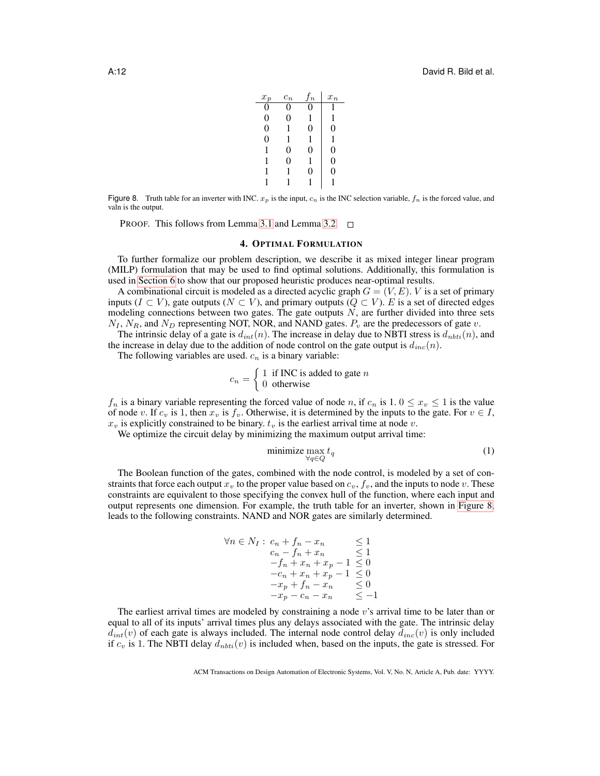<span id="page-11-1"></span>

| $x_p$ | $c_n$ | $f_n$ | $x_n$ |
|-------|-------|-------|-------|
|       | 0     |       |       |
| 0     | 0     |       | 1     |
| 0     | 1     | 0     | 0     |
| 0     | 1     | 1     | 1     |
| 1     | 0     | 0     | 0     |
| 1     | 0     | 1     | 0     |
| 1     | 1     | 0     | 0     |
|       |       |       |       |

Figure 8. Truth table for an inverter with INC.  $x_p$  is the input,  $c_n$  is the INC selection variable,  $f_n$  is the forced value, and valn is the output.

**PROOF.** This follows from Lemma [3.1](#page-10-0) and Lemma [3.2.](#page-10-1)  $\Box$ 

# 4. OPTIMAL FORMULATION

<span id="page-11-0"></span>To further formalize our problem description, we describe it as mixed integer linear program (MILP) formulation that may be used to find optimal solutions. Additionally, this formulation is used in [Section 6](#page-15-0) to show that our proposed heuristic produces near-optimal results.

A combinational circuit is modeled as a directed acyclic graph  $G = (V, E)$ . V is a set of primary inputs ( $I \subset V$ ), gate outputs ( $N \subset V$ ), and primary outputs ( $Q \subset V$ ). E is a set of directed edges modeling connections between two gates. The gate outputs  $N$ , are further divided into three sets  $N_I$ ,  $N_R$ , and  $N_D$  representing NOT, NOR, and NAND gates.  $P_v$  are the predecessors of gate v.

The intrinsic delay of a gate is  $d_{int}(n)$ . The increase in delay due to NBTI stress is  $d_{nbit}(n)$ , and the increase in delay due to the addition of node control on the gate output is  $d_{inc}(n)$ .

The following variables are used.  $c_n$  is a binary variable:

$$
c_n = \begin{cases} 1 & \text{if INC is added to gate } n \\ 0 & \text{otherwise} \end{cases}
$$

 $f_n$  is a binary variable representing the forced value of node n, if  $c_n$  is  $1.0 \le x_v \le 1$  is the value of node v. If  $c_v$  is 1, then  $x_v$  is  $f_v$ . Otherwise, it is determined by the inputs to the gate. For  $v \in I$ ,  $x<sub>v</sub>$  is explicitly constrained to be binary.  $t<sub>v</sub>$  is the earliest arrival time at node v.

We optimize the circuit delay by minimizing the maximum output arrival time:

<span id="page-11-2"></span>
$$
\text{minimize } \max_{\forall q \in Q} t_q \tag{1}
$$

The Boolean function of the gates, combined with the node control, is modeled by a set of constraints that force each output  $x_v$  to the proper value based on  $c_v$ ,  $f_v$ , and the inputs to node v. These constraints are equivalent to those specifying the convex hull of the function, where each input and output represents one dimension. For example, the truth table for an inverter, shown in [Figure 8,](#page-11-1) leads to the following constraints. NAND and NOR gates are similarly determined.

$$
\forall n \in N_I: c_n + f_n - x_n \le 1\nc_n - f_n + x_n \le 1\n-f_n + x_n + x_p - 1 \le 0\n-c_n + x_n + x_p - 1 \le 0\n-x_p + f_n - x_n \le 0\n-x_p - c_n - x_n \le -1
$$

The earliest arrival times are modeled by constraining a node v's arrival time to be later than or equal to all of its inputs' arrival times plus any delays associated with the gate. The intrinsic delay  $d_{int}(v)$  of each gate is always included. The internal node control delay  $d_{inc}(v)$  is only included if  $c_v$  is 1. The NBTI delay  $d_{nbit}(v)$  is included when, based on the inputs, the gate is stressed. For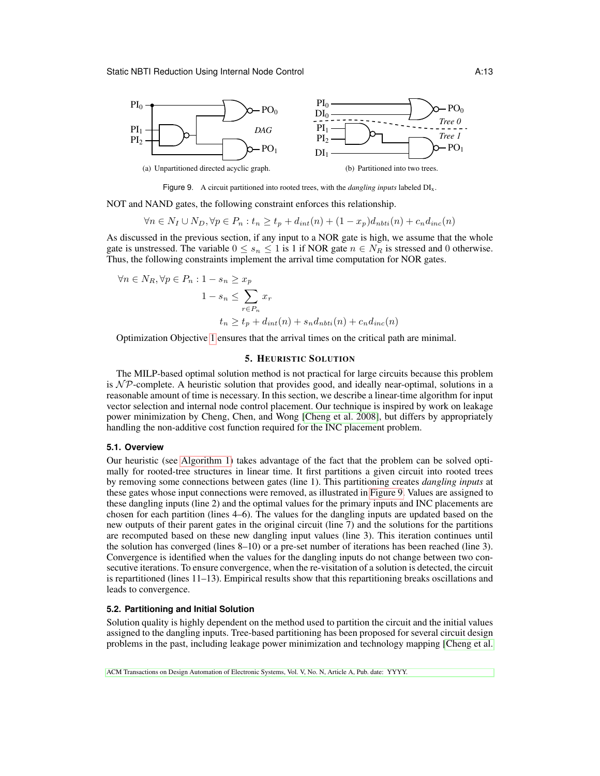

Figure 9. A circuit partitioned into rooted trees, with the *dangling inputs* labeled DIx.

NOT and NAND gates, the following constraint enforces this relationship.

$$
\forall n \in N_I \cup N_D, \forall p \in P_n : t_n \ge t_p + d_{int}(n) + (1 - x_p)d_{nbt}(n) + c_n d_{inc}(n)
$$

As discussed in the previous section, if any input to a NOR gate is high, we assume that the whole gate is unstressed. The variable  $0 \leq s_n \leq 1$  is 1 if NOR gate  $n \in N_R$  is stressed and 0 otherwise. Thus, the following constraints implement the arrival time computation for NOR gates.

$$
\forall n \in N_R, \forall p \in P_n : 1 - s_n \ge x_p
$$
  

$$
1 - s_n \le \sum_{r \in P_n} x_r
$$
  

$$
t_n \ge t_p + d_{int}(n) + s_n d_{nbti}(n) + c_n d_{inc}(n)
$$

Optimization Objective [1](#page-11-2) ensures that the arrival times on the critical path are minimal.

### <span id="page-12-1"></span>5. HEURISTIC SOLUTION

<span id="page-12-0"></span>The MILP-based optimal solution method is not practical for large circuits because this problem is  $N \mathcal{P}$ -complete. A heuristic solution that provides good, and ideally near-optimal, solutions in a reasonable amount of time is necessary. In this section, we describe a linear-time algorithm for input vector selection and internal node control placement. Our technique is inspired by work on leakage power minimization by Cheng, Chen, and Wong [\[Cheng et al. 2008\]](#page-25-9), but differs by appropriately handling the non-additive cost function required for the INC placement problem.

### **5.1. Overview**

Our heuristic (see [Algorithm 1\)](#page-13-0) takes advantage of the fact that the problem can be solved optimally for rooted-tree structures in linear time. It first partitions a given circuit into rooted trees by removing some connections between gates (line 1). This partitioning creates *dangling inputs* at these gates whose input connections were removed, as illustrated in [Figure 9.](#page-12-1) Values are assigned to these dangling inputs (line 2) and the optimal values for the primary inputs and INC placements are chosen for each partition (lines 4–6). The values for the dangling inputs are updated based on the new outputs of their parent gates in the original circuit (line 7) and the solutions for the partitions are recomputed based on these new dangling input values (line 3). This iteration continues until the solution has converged (lines 8–10) or a pre-set number of iterations has been reached (line 3). Convergence is identified when the values for the dangling inputs do not change between two consecutive iterations. To ensure convergence, when the re-visitation of a solution is detected, the circuit is repartitioned (lines 11–13). Empirical results show that this repartitioning breaks oscillations and leads to convergence.

# **5.2. Partitioning and Initial Solution**

Solution quality is highly dependent on the method used to partition the circuit and the initial values assigned to the dangling inputs. Tree-based partitioning has been proposed for several circuit design problems in the past, including leakage power minimization and technology mapping [\[Cheng et al.](#page-25-9)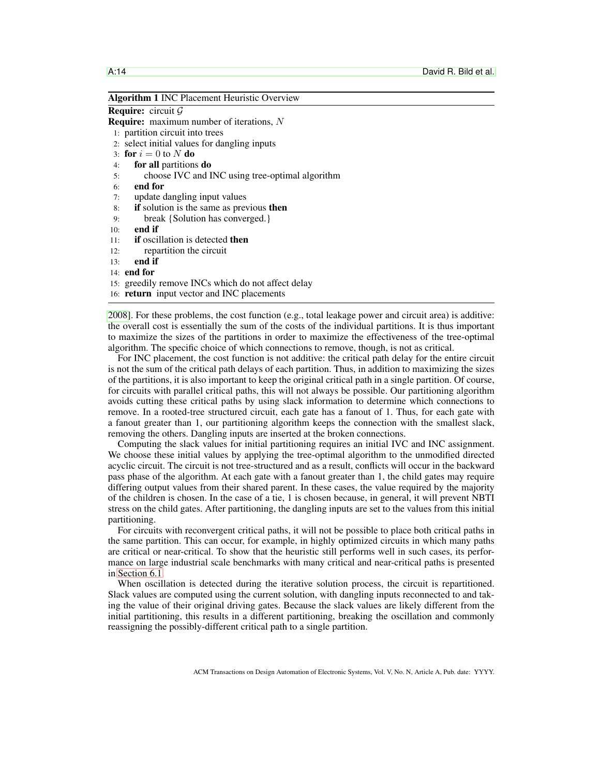Algorithm 1 INC Placement Heuristic Overview

# <span id="page-13-0"></span>**Require:** circuit  $G$

Require: maximum number of iterations, N

- 1: partition circuit into trees
- 2: select initial values for dangling inputs
- 3: for  $i = 0$  to N do
- 4: for all partitions do
- 5: choose IVC and INC using tree-optimal algorithm
- 6: end for
- 7: update dangling input values
- 8: if solution is the same as previous then
- 9: break {Solution has converged.}
- $10:$  end if
- 11: if oscillation is detected then
- 12: repartition the circuit
- 13: end if
- 14: end for
- 15: greedily remove INCs which do not affect delay
- 16: return input vector and INC placements

[2008\]](#page-25-9). For these problems, the cost function (e.g., total leakage power and circuit area) is additive: the overall cost is essentially the sum of the costs of the individual partitions. It is thus important to maximize the sizes of the partitions in order to maximize the effectiveness of the tree-optimal algorithm. The specific choice of which connections to remove, though, is not as critical.

For INC placement, the cost function is not additive: the critical path delay for the entire circuit is not the sum of the critical path delays of each partition. Thus, in addition to maximizing the sizes of the partitions, it is also important to keep the original critical path in a single partition. Of course, for circuits with parallel critical paths, this will not always be possible. Our partitioning algorithm avoids cutting these critical paths by using slack information to determine which connections to remove. In a rooted-tree structured circuit, each gate has a fanout of 1. Thus, for each gate with a fanout greater than 1, our partitioning algorithm keeps the connection with the smallest slack, removing the others. Dangling inputs are inserted at the broken connections.

Computing the slack values for initial partitioning requires an initial IVC and INC assignment. We choose these initial values by applying the tree-optimal algorithm to the unmodified directed acyclic circuit. The circuit is not tree-structured and as a result, conflicts will occur in the backward pass phase of the algorithm. At each gate with a fanout greater than 1, the child gates may require differing output values from their shared parent. In these cases, the value required by the majority of the children is chosen. In the case of a tie, 1 is chosen because, in general, it will prevent NBTI stress on the child gates. After partitioning, the dangling inputs are set to the values from this initial partitioning.

For circuits with reconvergent critical paths, it will not be possible to place both critical paths in the same partition. This can occur, for example, in highly optimized circuits in which many paths are critical or near-critical. To show that the heuristic still performs well in such cases, its performance on large industrial scale benchmarks with many critical and near-critical paths is presented in [Section 6.1.](#page-15-1)

When oscillation is detected during the iterative solution process, the circuit is repartitioned. Slack values are computed using the current solution, with dangling inputs reconnected to and taking the value of their original driving gates. Because the slack values are likely different from the initial partitioning, this results in a different partitioning, breaking the oscillation and commonly reassigning the possibly-different critical path to a single partition.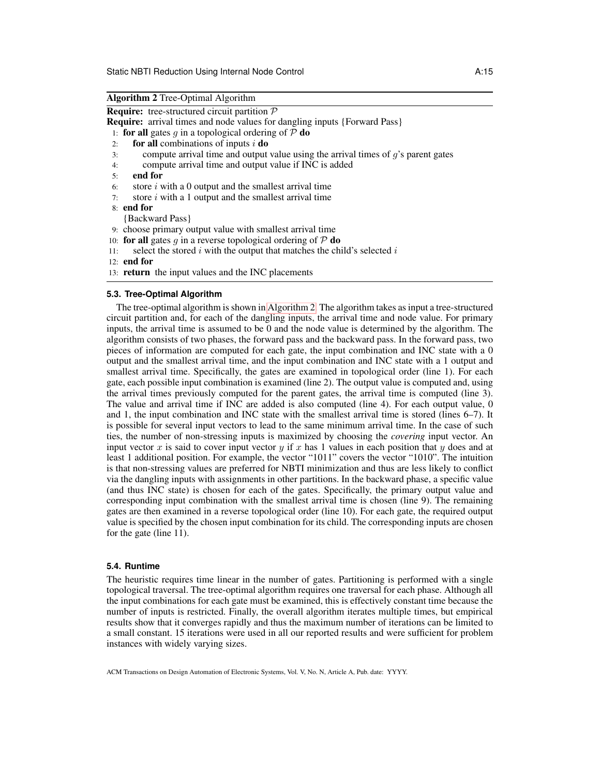<span id="page-14-0"></span>

| <b>Algorithm 2</b> Tree-Optimal Algorithm                                                  |
|--------------------------------------------------------------------------------------------|
| <b>Require:</b> tree-structured circuit partition $P$                                      |
| <b>Require:</b> arrival times and node values for dangling inputs {Forward Pass}           |
| 1: for all gates g in a topological ordering of $\mathcal P$ do                            |
| for all combinations of inputs $i$ do<br>2:                                                |
| compute arrival time and output value using the arrival times of $g$ 's parent gates<br>3: |
| compute arrival time and output value if INC is added<br>4:                                |
| end for<br>5:                                                                              |
| store $i$ with a 0 output and the smallest arrival time<br>6:                              |
| store $i$ with a 1 output and the smallest arrival time<br>7:                              |
| $8:$ end for                                                                               |
| {Backward Pass}                                                                            |
| 9. choose primary output value with smallest arrival time                                  |
| 10: for all gates g in a reverse topological ordering of $\mathcal P$ do                   |
| select the stored $i$ with the output that matches the child's selected $i$<br>11:         |
| $12:$ end for                                                                              |
| 13: <b>return</b> the input values and the INC placements                                  |

#### **5.3. Tree-Optimal Algorithm**

The tree-optimal algorithm is shown in [Algorithm 2.](#page-14-0) The algorithm takes as input a tree-structured circuit partition and, for each of the dangling inputs, the arrival time and node value. For primary inputs, the arrival time is assumed to be 0 and the node value is determined by the algorithm. The algorithm consists of two phases, the forward pass and the backward pass. In the forward pass, two pieces of information are computed for each gate, the input combination and INC state with a 0 output and the smallest arrival time, and the input combination and INC state with a 1 output and smallest arrival time. Specifically, the gates are examined in topological order (line 1). For each gate, each possible input combination is examined (line 2). The output value is computed and, using the arrival times previously computed for the parent gates, the arrival time is computed (line 3). The value and arrival time if INC are added is also computed (line 4). For each output value, 0 and 1, the input combination and INC state with the smallest arrival time is stored (lines 6–7). It is possible for several input vectors to lead to the same minimum arrival time. In the case of such ties, the number of non-stressing inputs is maximized by choosing the *covering* input vector. An input vector x is said to cover input vector y if x has 1 values in each position that y does and at least 1 additional position. For example, the vector "1011" covers the vector "1010". The intuition is that non-stressing values are preferred for NBTI minimization and thus are less likely to conflict via the dangling inputs with assignments in other partitions. In the backward phase, a specific value (and thus INC state) is chosen for each of the gates. Specifically, the primary output value and corresponding input combination with the smallest arrival time is chosen (line 9). The remaining gates are then examined in a reverse topological order (line 10). For each gate, the required output value is specified by the chosen input combination for its child. The corresponding inputs are chosen for the gate (line 11).

# **5.4. Runtime**

The heuristic requires time linear in the number of gates. Partitioning is performed with a single topological traversal. The tree-optimal algorithm requires one traversal for each phase. Although all the input combinations for each gate must be examined, this is effectively constant time because the number of inputs is restricted. Finally, the overall algorithm iterates multiple times, but empirical results show that it converges rapidly and thus the maximum number of iterations can be limited to a small constant. 15 iterations were used in all our reported results and were sufficient for problem instances with widely varying sizes.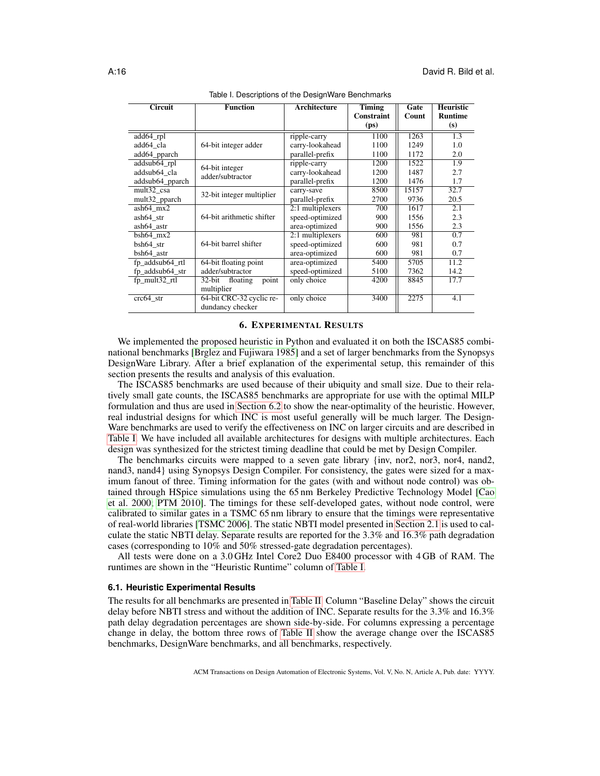<span id="page-15-2"></span>

| <b>Circuit</b>  | <b>Function</b>             | <b>Architecture</b> | <b>Timing</b>     | Gate  | <b>Heuristic</b> |
|-----------------|-----------------------------|---------------------|-------------------|-------|------------------|
|                 |                             |                     | <b>Constraint</b> | Count | <b>Runtime</b>   |
|                 |                             |                     | (p <sub>S</sub> ) |       | (s)              |
| add64_rpl       |                             | ripple-carry        | 1100              | 1263  | 1.3              |
| add64 cla       | 64-bit integer adder        | carry-lookahead     | 1100              | 1249  | 1.0              |
| add64_pparch    |                             | parallel-prefix     | 1100              | 1172  | 2.0              |
| addsub64_rpl    | 64-bit integer              | ripple-carry        | 1200              | 1522  | 1.9              |
| addsub64 cla    | adder/subtractor            | carry-lookahead     | 1200              | 1487  | 2.7              |
| addsub64_pparch |                             | parallel-prefix     | 1200              | 1476  | 1.7              |
| mult32 csa      | 32-bit integer multiplier   | carry-save          | 8500              | 15157 | 32.7             |
| mult32_pparch   |                             | parallel-prefix     | 2700              | 9736  | 20.5             |
| $ash64$ mx2     |                             | 2:1 multiplexers    | 700               | 1617  | 2.1              |
| ash64 str       | 64-bit arithmetic shifter   | speed-optimized     | 900               | 1556  | 2.3              |
| ash64 astr      |                             | area-optimized      | 900               | 1556  | 2.3              |
| $bsh64$ mx2     |                             | $2:1$ multiplexers  | 600               | 981   | 0.7              |
| bsh64 str       | 64-bit barrel shifter       | speed-optimized     | 600               | 981   | 0.7              |
| bsh64 astr      |                             | area-optimized      | 600               | 981   | 0.7              |
| fp_addsub64_rtl | 64-bit floating point       | area-optimized      | 5400              | 5705  | 11.2             |
| fp_addsub64_str | adder/subtractor            | speed-optimized     | 5100              | 7362  | 14.2             |
| fp_mult32_rtl   | point<br>32-bit<br>floating | only choice         | 4200              | 8845  | 17.7             |
|                 | multiplier                  |                     |                   |       |                  |
| $crc64$ str     | 64-bit CRC-32 cyclic re-    | only choice         | 3400              | 2275  | 4.1              |
|                 | dundancy checker            |                     |                   |       |                  |

Table I. Descriptions of the DesignWare Benchmarks

# 6. EXPERIMENTAL RESULTS

<span id="page-15-0"></span>We implemented the proposed heuristic in Python and evaluated it on both the ISCAS85 combinational benchmarks [\[Brglez and Fujiwara 1985\]](#page-25-2) and a set of larger benchmarks from the Synopsys DesignWare Library. After a brief explanation of the experimental setup, this remainder of this section presents the results and analysis of this evaluation.

The ISCAS85 benchmarks are used because of their ubiquity and small size. Due to their relatively small gate counts, the ISCAS85 benchmarks are appropriate for use with the optimal MILP formulation and thus are used in [Section 6.2](#page-17-0) to show the near-optimality of the heuristic. However, real industrial designs for which INC is most useful generally will be much larger. The Design-Ware benchmarks are used to verify the effectiveness on INC on larger circuits and are described in [Table I.](#page-15-2) We have included all available architectures for designs with multiple architectures. Each design was synthesized for the strictest timing deadline that could be met by Design Compiler.

The benchmarks circuits were mapped to a seven gate library {inv, nor2, nor3, nor4, nand2, nand3, nand4} using Synopsys Design Compiler. For consistency, the gates were sized for a maximum fanout of three. Timing information for the gates (with and without node control) was obtained through HSpice simulations using the 65 nm Berkeley Predictive Technology Model [\[Cao](#page-25-7) [et al. 2000;](#page-25-7) [PTM 2010\]](#page-26-18). The timings for these self-developed gates, without node control, were calibrated to similar gates in a TSMC 65 nm library to ensure that the timings were representative of real-world libraries [\[TSMC 2006\]](#page-26-21). The static NBTI model presented in [Section 2.1](#page-1-1) is used to calculate the static NBTI delay. Separate results are reported for the 3.3% and 16.3% path degradation cases (corresponding to 10% and 50% stressed-gate degradation percentages).

All tests were done on a 3.0 GHz Intel Core2 Duo E8400 processor with 4 GB of RAM. The runtimes are shown in the "Heuristic Runtime" column of [Table I.](#page-15-2)

# <span id="page-15-1"></span>**6.1. Heuristic Experimental Results**

The results for all benchmarks are presented in [Table II.](#page-16-0) Column "Baseline Delay" shows the circuit delay before NBTI stress and without the addition of INC. Separate results for the 3.3% and 16.3% path delay degradation percentages are shown side-by-side. For columns expressing a percentage change in delay, the bottom three rows of [Table II](#page-16-0) show the average change over the ISCAS85 benchmarks, DesignWare benchmarks, and all benchmarks, respectively.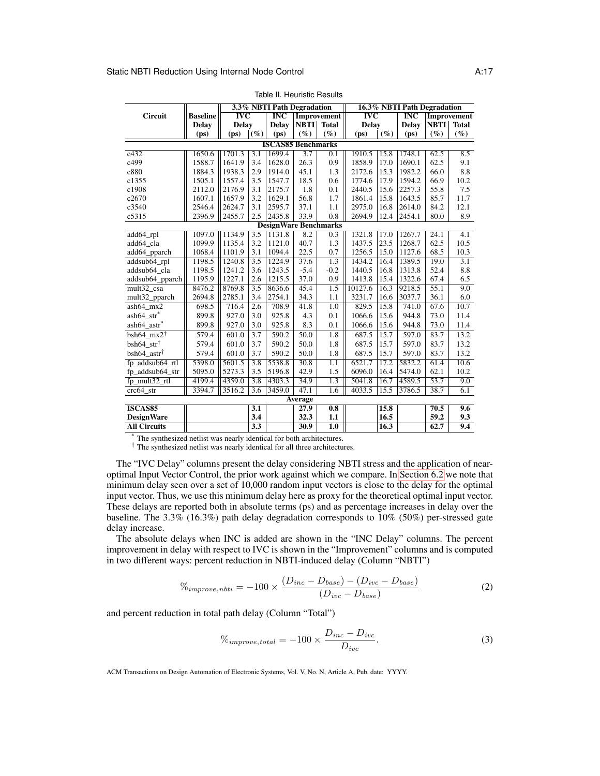<span id="page-16-0"></span>

|                                      | 3.3% NBTI Path Degradation |                         |                  |                              |                    |                  | 16.3% NBTI Path Degradation |        |                         |                    |                  |
|--------------------------------------|----------------------------|-------------------------|------------------|------------------------------|--------------------|------------------|-----------------------------|--------|-------------------------|--------------------|------------------|
| Circuit                              | <b>Baseline</b>            | $\overline{\text{IVC}}$ |                  | INC                          | <b>Improvement</b> |                  | $\overline{\text{IVC}}$     |        | $\overline{\text{INC}}$ | <b>Improvement</b> |                  |
|                                      | <b>Delay</b>               | <b>Delay</b>            |                  | <b>Delay</b>                 | <b>NBTI</b>        | <b>Total</b>     | <b>Delay</b>                |        | <b>Delay</b>            | <b>NBTI</b>        | <b>Total</b>     |
|                                      | (p <sub>S</sub> )          | (p <sub>S</sub> )       | $(\%)$           | (p <sub>S</sub> )            | $(\%)$             | $(\%)$           | (p <sub>S</sub> )           | $(\%)$ | (p <sub>S</sub> )       | $(\%)$             | $(\%)$           |
|                                      |                            |                         |                  | <b>ISCAS85 Benchmarks</b>    |                    |                  |                             |        |                         |                    |                  |
| c432                                 | 1650.6                     | 1701.3                  | 3.1              | 1699.4                       | $\overline{3.7}$   | 0.1              | 1910.5                      | 15.8   | 1748.1                  | 62.5               | 8.5              |
| c499                                 | 1588.7                     | 1641.9                  | 3.4              | 1628.0                       | 26.3               | 0.9              | 1858.9                      | 17.0   | 1690.1                  | 62.5               | 9.1              |
| c880                                 | 1884.3                     | 1938.3                  | 2.9              | 1914.0                       | 45.1               | 1.3              | 2172.6                      | 15.3   | 1982.2                  | 66.0               | 8.8              |
| c1355                                | 1505.1                     | 1557.4                  | 3.5              | 1547.7                       | 18.5               | 0.6              | 1774.6                      | 17.9   | 1594.2                  | 66.9               | 10.2             |
| c1908                                | 2112.0                     | 2176.9                  | 3.1              | 2175.7                       | 1.8                | 0.1              | 2440.5                      | 15.6   | 2257.3                  | 55.8               | 7.5              |
| c2670                                | 1607.1                     | 1657.9                  | 3.2              | 1629.1                       | 56.8               | 1.7              | 1861.4                      | 15.8   | 1643.5                  | 85.7               | 11.7             |
| c3540                                | 2546.4                     | 2624.7                  | 3.1              | 2595.7                       | 37.1               | 1.1              | 2975.0                      | 16.8   | 2614.0                  | 84.2               | 12.1             |
| c5315                                | 2396.9                     | 2455.7                  | 2.5              | 2435.8                       | 33.9               | 0.8              | 2694.9                      | 12.4   | 2454.1                  | 80.0               | 8.9              |
|                                      |                            |                         |                  | <b>DesignWare Benchmarks</b> |                    |                  |                             |        |                         |                    |                  |
| add64_rpl                            | 1097.0                     | 1134.9                  | 3.5              | 1131.8                       | 8.2                | 0.3              | 1321.8                      | 17.0   | 1267.7                  | $\overline{24.1}$  | 4.1              |
| add64 cla                            | 1099.9                     | 1135.4                  | 3.2              | 1121.0                       | 40.7               | 1.3              | 1437.5                      | 23.5   | 1268.7                  | 62.5               | 10.5             |
| add64_pparch                         | 1068.4                     | 1101.9                  | 3.1              | 1094.4                       | 22.5               | 0.7              | 1256.5                      | 15.0   | 1127.6                  | 68.5               | 10.3             |
| addsub64 rpl                         | 1198.5                     | 1240.8                  | $\overline{3.5}$ | 1224.9                       | 37.6               | 1.3              | 1434.2                      | 16.4   | 1389.5                  | 19.0               | $\overline{3.1}$ |
| addsub64 cla                         | 1198.5                     | 1241.2                  | 3.6              | 1243.5                       | $-5.4$             | $-0.2$           | 1440.5                      | 16.8   | 1313.8                  | 52.4               | 8.8              |
| addsub64_pparch                      | 1195.9                     | 1227.1                  | 2.6              | 1215.5                       | 37.0               | 0.9              | 1413.8                      | 15.4   | 1322.6                  | 67.4               | 6.5              |
| mult32 csa                           | 8476.2                     | 8769.8                  | $\overline{3.5}$ | 8636.6                       | 45.4               | 1.5              | 10127.6                     | 16.3   | 9218.5                  | 55.1               | 9.0              |
| mult32_pparch                        | 2694.8                     | 2785.1                  | 3.4              | 2754.1                       | 34.3               | 1.1              | 3231.7                      | 16.6   | 3037.7                  | 36.1               | 6.0              |
| $ash64$ mx2                          | 698.5                      | 716.4                   | 2.6              | 708.9                        | 41.8               | 1.0              | 829.5                       | 15.8   | 741.0                   | 67.6               | 10.7             |
| $ash64_{str}^*$                      | 899.8                      | 927.0                   | 3.0              | 925.8                        | 4.3                | 0.1              | 1066.6                      | 15.6   | 944.8                   | 73.0               | 11.4             |
| ash64_astr*                          | 899.8                      | 927.0                   | 3.0              | 925.8                        | 8.3                | 0.1              | 1066.6                      | 15.6   | 944.8                   | 73.0               | 11.4             |
| $bsh64$ <sub>_mx2</sub> <sup>†</sup> | 579.4                      | 601.0                   | 3.7              | 590.2                        | 50.0               | 1.8              | 687.5                       | 15.7   | 597.0                   | 83.7               | 13.2             |
| bsh64 str <sup>†</sup>               | 579.4                      | 601.0                   | 3.7              | 590.2                        | 50.0               | 1.8              | 687.5                       | 15.7   | 597.0                   | 83.7               | 13.2             |
| $bsh64$ astr <sup>†</sup>            | 579.4                      | 601.0                   | 3.7              | 590.2                        | 50.0               | 1.8              | 687.5                       | 15.7   | 597.0                   | 83.7               | 13.2             |
| fp addsub64 rtl                      | 5398.0                     | 5601.5                  | 3.8              | 5538.8                       | 30.8               | 1.1              | 6521.7                      | 17.2   | 5832.2                  | 61.4               | 10.6             |
| fp_addsub64_str                      | 5095.0                     | 5273.3                  | 3.5              | 5196.8                       | 42.9               | 1.5              | 6096.0                      | 16.4   | 5474.0                  | 62.1               | 10.2             |
| fp_mult32_rtl                        | 4199.4                     | 4359.0                  | 3.8              | 4303.3                       | 34.9               | 1.3              | 5041.8                      | 16.7   | 4589.5                  | 53.7               | 9.0              |
| $crc64$ str                          | 3394.7                     | 3516.2                  | 3.6              | 3459.0                       | 47.1               | 1.6              | 4033.5                      | 15.5   | 3786.5                  | 38.7               | 6.1              |
| Average                              |                            |                         |                  |                              |                    |                  |                             |        |                         |                    |                  |
| ISCAS85                              |                            |                         | 3.1              |                              | 27.9               | 0.8              |                             | 15.8   |                         | 70.5               | 9.6              |
| <b>DesignWare</b>                    |                            |                         | 3.4              |                              | 32.3               | 1.1              |                             | 16.5   |                         | 59.2               | 9.3              |
| <b>All Circuits</b>                  |                            |                         | $\overline{3.3}$ |                              | 30.9               | $\overline{1.0}$ |                             | 16.3   |                         | 62.7               | 9.4              |

Table II. Heuristic Results

\* The synthesized netlist was nearly identical for both architectures.

† The synthesized netlist was nearly identical for all three architectures.

The "IVC Delay" columns present the delay considering NBTI stress and the application of nearoptimal Input Vector Control, the prior work against which we compare. In [Section 6.2](#page-17-0) we note that minimum delay seen over a set of 10,000 random input vectors is close to the delay for the optimal input vector. Thus, we use this minimum delay here as proxy for the theoretical optimal input vector. These delays are reported both in absolute terms (ps) and as percentage increases in delay over the baseline. The 3.3% (16.3%) path delay degradation corresponds to  $10\%$  (50%) per-stressed gate delay increase.

The absolute delays when INC is added are shown in the "INC Delay" columns. The percent improvement in delay with respect to IVC is shown in the "Improvement" columns and is computed in two different ways: percent reduction in NBTI-induced delay (Column "NBTI")

$$
\%_{improve, nbti} = -100 \times \frac{(D_{inc} - D_{base}) - (D_{ivc} - D_{base})}{(D_{ivc} - D_{base})}
$$
\n(2)

and percent reduction in total path delay (Column "Total")

$$
\%_{improve, total} = -100 \times \frac{D_{inc} - D_{ivc}}{D_{ivc}}.
$$
\n(3)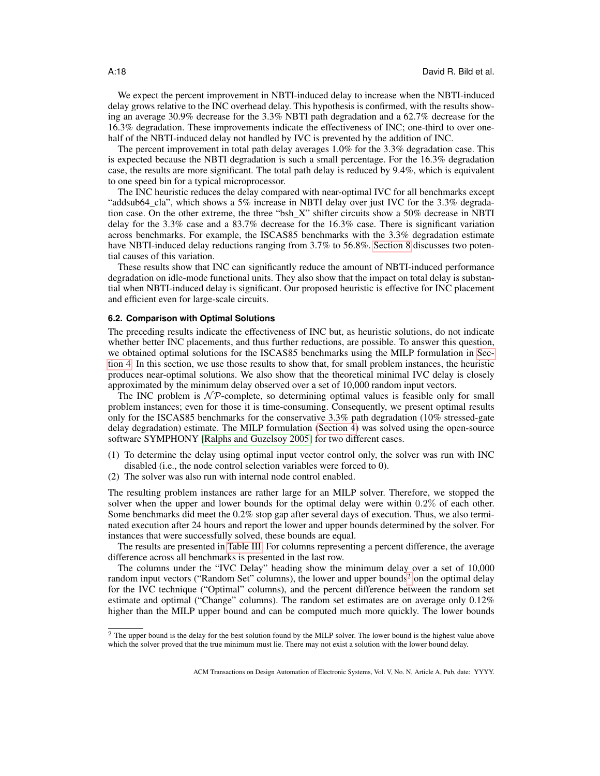We expect the percent improvement in NBTI-induced delay to increase when the NBTI-induced delay grows relative to the INC overhead delay. This hypothesis is confirmed, with the results showing an average 30.9% decrease for the 3.3% NBTI path degradation and a 62.7% decrease for the 16.3% degradation. These improvements indicate the effectiveness of INC; one-third to over onehalf of the NBTI-induced delay not handled by IVC is prevented by the addition of INC.

The percent improvement in total path delay averages 1.0% for the 3.3% degradation case. This is expected because the NBTI degradation is such a small percentage. For the 16.3% degradation case, the results are more significant. The total path delay is reduced by 9.4%, which is equivalent to one speed bin for a typical microprocessor.

The INC heuristic reduces the delay compared with near-optimal IVC for all benchmarks except "addsub64\_cla", which shows a 5% increase in NBTI delay over just IVC for the 3.3% degradation case. On the other extreme, the three "bsh\_X" shifter circuits show a 50% decrease in NBTI delay for the 3.3% case and a 83.7% decrease for the 16.3% case. There is significant variation across benchmarks. For example, the ISCAS85 benchmarks with the 3.3% degradation estimate have NBTI-induced delay reductions ranging from 3.7% to 56.8%. [Section 8](#page-22-0) discusses two potential causes of this variation.

These results show that INC can significantly reduce the amount of NBTI-induced performance degradation on idle-mode functional units. They also show that the impact on total delay is substantial when NBTI-induced delay is significant. Our proposed heuristic is effective for INC placement and efficient even for large-scale circuits.

### <span id="page-17-0"></span>**6.2. Comparison with Optimal Solutions**

The preceding results indicate the effectiveness of INC but, as heuristic solutions, do not indicate whether better INC placements, and thus further reductions, are possible. To answer this question, we obtained optimal solutions for the ISCAS85 benchmarks using the MILP formulation in [Sec](#page-11-0)[tion 4.](#page-11-0) In this section, we use those results to show that, for small problem instances, the heuristic produces near-optimal solutions. We also show that the theoretical minimal IVC delay is closely approximated by the minimum delay observed over a set of 10,000 random input vectors.

The INC problem is  $N\mathcal{P}$ -complete, so determining optimal values is feasible only for small problem instances; even for those it is time-consuming. Consequently, we present optimal results only for the ISCAS85 benchmarks for the conservative 3.3% path degradation (10% stressed-gate delay degradation) estimate. The MILP formulation [\(Section 4\)](#page-11-0) was solved using the open-source software SYMPHONY [\[Ralphs and Guzelsoy 2005\]](#page-26-22) for two different cases.

- (1) To determine the delay using optimal input vector control only, the solver was run with INC disabled (i.e., the node control selection variables were forced to 0).
- (2) The solver was also run with internal node control enabled.

The resulting problem instances are rather large for an MILP solver. Therefore, we stopped the solver when the upper and lower bounds for the optimal delay were within 0.2% of each other. Some benchmarks did meet the 0.2% stop gap after several days of execution. Thus, we also terminated execution after 24 hours and report the lower and upper bounds determined by the solver. For instances that were successfully solved, these bounds are equal.

The results are presented in [Table III.](#page-18-0) For columns representing a percent difference, the average difference across all benchmarks is presented in the last row.

The columns under the "IVC Delay" heading show the minimum delay over a set of 10,000 random input vectors ("Random Set" columns), the lower and upper bounds<sup>[2](#page-17-1)</sup> on the optimal delay for the IVC technique ("Optimal" columns), and the percent difference between the random set estimate and optimal ("Change" columns). The random set estimates are on average only 0.12% higher than the MILP upper bound and can be computed much more quickly. The lower bounds

<span id="page-17-1"></span> $2$  The upper bound is the delay for the best solution found by the MILP solver. The lower bound is the highest value above which the solver proved that the true minimum must lie. There may not exist a solution with the lower bound delay.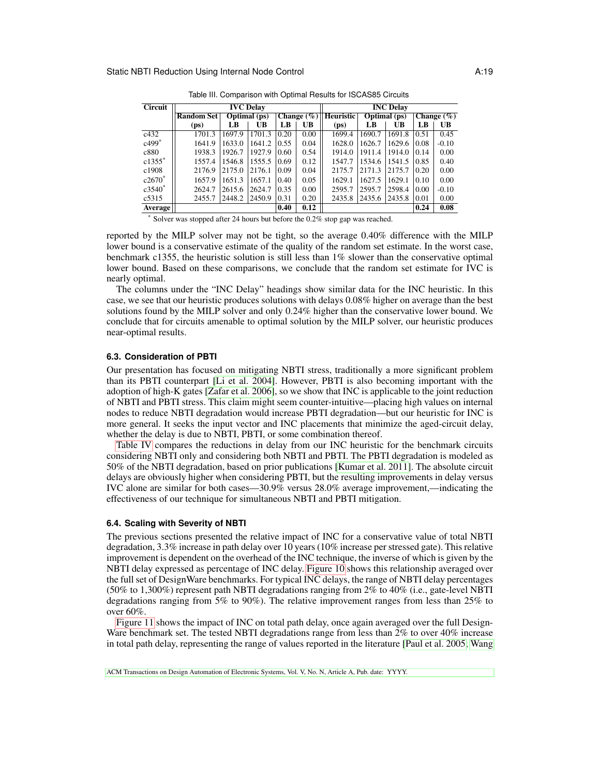<span id="page-18-0"></span>

| <b>Circuit</b>       |                   |        | <b>IVC Delay</b> |      |               |                   | <b>INC Delay</b> |                     |      |               |
|----------------------|-------------------|--------|------------------|------|---------------|-------------------|------------------|---------------------|------|---------------|
|                      | <b>Random Set</b> |        | $Optimal (ps)$   |      | Change $(\%)$ | Heuristic         |                  | <b>Optimal</b> (ps) |      | Change $(\%)$ |
|                      | (p <sub>S</sub> ) | LB     | UB               | LB   | UB            | (p <sub>S</sub> ) | LB               | UB                  | LB   | $_{\rm{UB}}$  |
| c432                 | 1701.3            | 1697.9 | 1701.3           | 0.20 | 0.00          | 1699.4            | 1690.7           | 1691.8              | 0.51 | 0.45          |
| $c499*$              | 1641.9            | 1633.0 | 1641.2           | 0.55 | 0.04          | 1628.0            | 1626.7           | 1629.6              | 0.08 | $-0.10$       |
| c880                 | 1938.3            | 1926.7 | 1927.9           | 0.60 | 0.54          | 1914.0            | 1911.4           | 1914.0              | 0.14 | 0.00          |
| $c1355$ <sup>*</sup> | 1557.4            | 1546.8 | 1555.5           | 0.69 | 0.12          | 1547.7            | 1534.6           | 1541.5              | 0.85 | 0.40          |
| c1908                | 2176.9            | 2175.0 | 2176.1           | 0.09 | 0.04          | 2175.7            | 2171.3           | 2175.7              | 0.20 | 0.00          |
| $c2670*$             | 1657.9            | 1651.3 | 1657.1           | 0.40 | 0.05          | 1629.1            | 1627.5           | 1629.1              | 0.10 | 0.00          |
| $c3540^*$            | 2624.7            | 2615.6 | 2624.7           | 0.35 | 0.00          | 2595.7            | 2595.7           | 2598.4              | 0.00 | $-0.10$       |
| c5315                | 2455.7            | 2448.2 | 2450.9           | 0.31 | 0.20          | 2435.8            | 2435.6           | 2435.8              | 0.01 | 0.00          |
| Average              |                   |        |                  | 0.40 | 0.12          |                   |                  |                     | 0.24 | 0.08          |

Table III. Comparison with Optimal Results for ISCAS85 Circuits

Solver was stopped after 24 hours but before the 0.2% stop gap was reached.

reported by the MILP solver may not be tight, so the average 0.40% difference with the MILP lower bound is a conservative estimate of the quality of the random set estimate. In the worst case, benchmark c1355, the heuristic solution is still less than 1% slower than the conservative optimal lower bound. Based on these comparisons, we conclude that the random set estimate for IVC is nearly optimal.

The columns under the "INC Delay" headings show similar data for the INC heuristic. In this case, we see that our heuristic produces solutions with delays 0.08% higher on average than the best solutions found by the MILP solver and only 0.24% higher than the conservative lower bound. We conclude that for circuits amenable to optimal solution by the MILP solver, our heuristic produces near-optimal results.

### **6.3. Consideration of PBTI**

Our presentation has focused on mitigating NBTI stress, traditionally a more significant problem than its PBTI counterpart [\[Li et al. 2004\]](#page-26-10). However, PBTI is also becoming important with the adoption of high-K gates [\[Zafar et al. 2006\]](#page-26-23), so we show that INC is applicable to the joint reduction of NBTI and PBTI stress. This claim might seem counter-intuitive—placing high values on internal nodes to reduce NBTI degradation would increase PBTI degradation—but our heuristic for INC is more general. It seeks the input vector and INC placements that minimize the aged-circuit delay, whether the delay is due to NBTI, PBTI, or some combination thereof.

[Table IV](#page-19-0) compares the reductions in delay from our INC heuristic for the benchmark circuits considering NBTI only and considering both NBTI and PBTI. The PBTI degradation is modeled as 50% of the NBTI degradation, based on prior publications [\[Kumar et al. 2011\]](#page-26-24). The absolute circuit delays are obviously higher when considering PBTI, but the resulting improvements in delay versus IVC alone are similar for both cases—30.9% versus 28.0% average improvement,—indicating the effectiveness of our technique for simultaneous NBTI and PBTI mitigation.

# **6.4. Scaling with Severity of NBTI**

The previous sections presented the relative impact of INC for a conservative value of total NBTI degradation, 3.3% increase in path delay over 10 years (10% increase per stressed gate). This relative improvement is dependent on the overhead of the INC technique, the inverse of which is given by the NBTI delay expressed as percentage of INC delay. [Figure 10](#page-19-1) shows this relationship averaged over the full set of DesignWare benchmarks. For typical INC delays, the range of NBTI delay percentages (50% to 1,300%) represent path NBTI degradations ranging from 2% to 40% (i.e., gate-level NBTI degradations ranging from 5% to 90%). The relative improvement ranges from less than 25% to over 60%.

[Figure 11](#page-19-2) shows the impact of INC on total path delay, once again averaged over the full Design-Ware benchmark set. The tested NBTI degradations range from less than 2% to over 40% increase in total path delay, representing the range of values reported in the literature [\[Paul et al. 2005;](#page-26-0) [Wang](#page-26-11)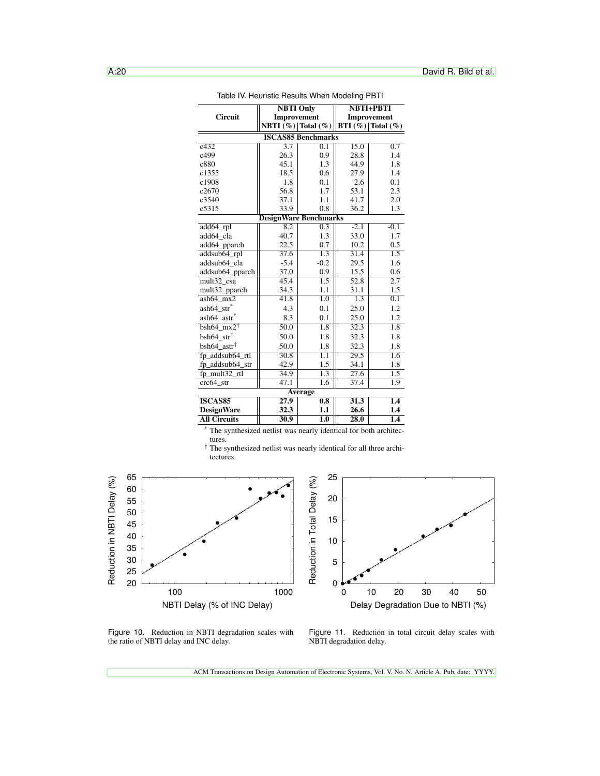<span id="page-19-0"></span>

| Table TV. Heuristic Results when Modeling PBTT |                              |                           |                   |                                          |  |  |  |  |
|------------------------------------------------|------------------------------|---------------------------|-------------------|------------------------------------------|--|--|--|--|
|                                                | <b>NBTI</b> Only             |                           | <b>NBTI+PBTI</b>  |                                          |  |  |  |  |
| <b>Circuit</b>                                 | Improvement                  |                           |                   | Improvement                              |  |  |  |  |
|                                                | NBTI $(\%)$ Total $(\%)$     |                           |                   | $ \text{BTI } (\%)  \text{Total } (\%) $ |  |  |  |  |
| <b>ISCAS85 Benchmarks</b>                      |                              |                           |                   |                                          |  |  |  |  |
| c432                                           | $\overline{3.7}$             | 0.1                       | 15.0              | 0.7                                      |  |  |  |  |
| c499                                           | 26.3                         | 0.9                       | 28.8              | 1.4                                      |  |  |  |  |
| c880                                           | 45.1                         | 1.3                       | 44.9              | 1.8                                      |  |  |  |  |
| c1355                                          | 18.5                         | 0.6                       | 27.9              | 1.4                                      |  |  |  |  |
| c1908                                          | 1.8                          | 0.1                       | 2.6               | 0.1                                      |  |  |  |  |
| c2670                                          | 56.8                         | 1.7                       | 53.1              | 2.3                                      |  |  |  |  |
| c3540                                          | 37.1                         | 1.1                       | 41.7              | 2.0                                      |  |  |  |  |
| c5315                                          | 33.9                         | 0.8                       | 36.2              | 1.3                                      |  |  |  |  |
|                                                | <b>DesignWare Benchmarks</b> |                           |                   |                                          |  |  |  |  |
| add64_rpl                                      | 8.2                          | 0.3                       | $-2.1$            | $-0.1$                                   |  |  |  |  |
| add64 cla                                      | 40.7                         | 1.3                       | 33.0              | 1.7                                      |  |  |  |  |
| add64_pparch                                   | 22.5                         | 0.7                       | 10.2              | 0.5                                      |  |  |  |  |
| addsub64 rpl                                   | 37.6                         | 1.3                       | 31.4              | 1.5                                      |  |  |  |  |
| addsub64 cla                                   | $-5.4$                       | $-0.2$                    | 29.5              | 1.6                                      |  |  |  |  |
| addsub64_pparch                                | 37.0                         | 0.9                       | 15.5              | 0.6                                      |  |  |  |  |
| mult32 csa                                     | 45.4                         | $\overline{1.5}$          | $\overline{52.8}$ | $\overline{2.7}$                         |  |  |  |  |
| mult32_pparch                                  | 34.3                         | 1.1                       | 31.1              | 1.5                                      |  |  |  |  |
| $\overline{\text{ash}}$ 64_mx2                 | 41.8                         | 1.0                       | 1.3               | $\overline{0.1}$                         |  |  |  |  |
| $ash64$ str <sup>*</sup>                       | 4.3                          | 0.1                       | 25.0              | 1.2                                      |  |  |  |  |
| ash64_astr <sup>*</sup>                        | 8.3                          | 0.1                       | 25.0              | 1.2                                      |  |  |  |  |
| $bsh64$ _mx2 <sup>†</sup>                      | 50.0                         | 1.8                       | 32.3              | 1.8                                      |  |  |  |  |
| $bsh64$ str <sup>†</sup>                       | 50.0                         | 1.8                       | 32.3              | 1.8                                      |  |  |  |  |
| $bsh64_astr^{\dagger}$                         | 50.0                         | 1.8                       | 32.3              | 1.8                                      |  |  |  |  |
| fp addsub64 rtl                                | 30.8                         | $\overline{1.1}$          | $\overline{29.5}$ | 1.6                                      |  |  |  |  |
| fp_addsub64_str                                | 42.9                         | 1.5                       | 34.1              | 1.8                                      |  |  |  |  |
| fp_mult32_rtl                                  | 34.9                         | 1.3                       | $\overline{27.6}$ | $\overline{1.5}$                         |  |  |  |  |
| $crc64$ str                                    | 47.1                         | 1.6                       | 37.4              | 1.9                                      |  |  |  |  |
|                                                |                              | Average                   |                   |                                          |  |  |  |  |
| <b>ISCAS85</b>                                 | 27.9                         | $\overline{\mathbf{0.8}}$ | 31.3              | 1.4                                      |  |  |  |  |
| <b>DesignWare</b>                              | 32.3                         | 1.1                       | 26.6              | 1.4                                      |  |  |  |  |
| <b>All Circuits</b>                            | 30.9                         | $\overline{1.0}$          | $\overline{28.0}$ | 1.4                                      |  |  |  |  |

Table IV. Heuristic Results When Modeling PBTI

The synthesized netlist was nearly identical for both architectures.

 $^\dagger$  The synthesized netlist was nearly identical for all three architectures.





<span id="page-19-1"></span>Figure 10. Reduction in NBTI degradation scales with the ratio of NBTI delay and INC delay.

<span id="page-19-2"></span>Figure 11. Reduction in total circuit delay scales with NBTI degradation delay.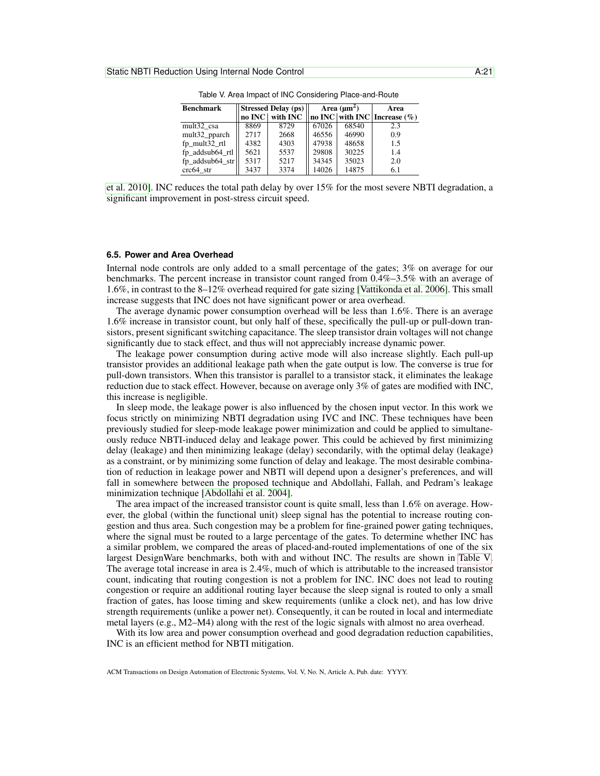<span id="page-20-0"></span>

| <b>Benchmark</b>    |      | <b>Stressed Delay (ps)</b> |       | Area $(\mu m^2)$ | Area                            |  |
|---------------------|------|----------------------------|-------|------------------|---------------------------------|--|
|                     |      | no INC with INC            |       |                  | no INC with INC Increase $(\%)$ |  |
| mult32 csa          | 8869 | 8729                       | 67026 | 68540            | 2.3                             |  |
| mult32_pparch       | 2717 | 2668                       | 46556 | 46990            | 0.9                             |  |
| fp mult32 rtl       | 4382 | 4303                       | 47938 | 48658            | 1.5                             |  |
| fp_addsub64_rtl $ $ | 5621 | 5537                       | 29808 | 30225            | 1.4                             |  |
| $fp\_addsub64\_str$ | 5317 | 5217                       | 34345 | 35023            | 2.0                             |  |
| $crc64$ str         | 3437 | 3374                       | 14026 | 14875            | 6.1                             |  |

Table V. Area Impact of INC Considering Place-and-Route

#### **6.5. Power and Area Overhead**

Internal node controls are only added to a small percentage of the gates; 3% on average for our benchmarks. The percent increase in transistor count ranged from 0.4%–3.5% with an average of 1.6%, in contrast to the 8–12% overhead required for gate sizing [\[Vattikonda et al. 2006\]](#page-26-6). This small increase suggests that INC does not have significant power or area overhead.

The average dynamic power consumption overhead will be less than 1.6%. There is an average 1.6% increase in transistor count, but only half of these, specifically the pull-up or pull-down transistors, present significant switching capacitance. The sleep transistor drain voltages will not change significantly due to stack effect, and thus will not appreciably increase dynamic power.

The leakage power consumption during active mode will also increase slightly. Each pull-up transistor provides an additional leakage path when the gate output is low. The converse is true for pull-down transistors. When this transistor is parallel to a transistor stack, it eliminates the leakage reduction due to stack effect. However, because on average only 3% of gates are modified with INC, this increase is negligible.

In sleep mode, the leakage power is also influenced by the chosen input vector. In this work we focus strictly on minimizing NBTI degradation using IVC and INC. These techniques have been previously studied for sleep-mode leakage power minimization and could be applied to simultaneously reduce NBTI-induced delay and leakage power. This could be achieved by first minimizing delay (leakage) and then minimizing leakage (delay) secondarily, with the optimal delay (leakage) as a constraint, or by minimizing some function of delay and leakage. The most desirable combination of reduction in leakage power and NBTI will depend upon a designer's preferences, and will fall in somewhere between the proposed technique and Abdollahi, Fallah, and Pedram's leakage minimization technique [\[Abdollahi et al. 2004\]](#page-25-6).

The area impact of the increased transistor count is quite small, less than 1.6% on average. However, the global (within the functional unit) sleep signal has the potential to increase routing congestion and thus area. Such congestion may be a problem for fine-grained power gating techniques, where the signal must be routed to a large percentage of the gates. To determine whether INC has a similar problem, we compared the areas of placed-and-routed implementations of one of the six largest DesignWare benchmarks, both with and without INC. The results are shown in [Table V.](#page-20-0) The average total increase in area is 2.4%, much of which is attributable to the increased transistor count, indicating that routing congestion is not a problem for INC. INC does not lead to routing congestion or require an additional routing layer because the sleep signal is routed to only a small fraction of gates, has loose timing and skew requirements (unlike a clock net), and has low drive strength requirements (unlike a power net). Consequently, it can be routed in local and intermediate metal layers (e.g., M2–M4) along with the rest of the logic signals with almost no area overhead.

With its low area and power consumption overhead and good degradation reduction capabilities, INC is an efficient method for NBTI mitigation.

[et al. 2010\]](#page-26-11). INC reduces the total path delay by over 15% for the most severe NBTI degradation, a significant improvement in post-stress circuit speed.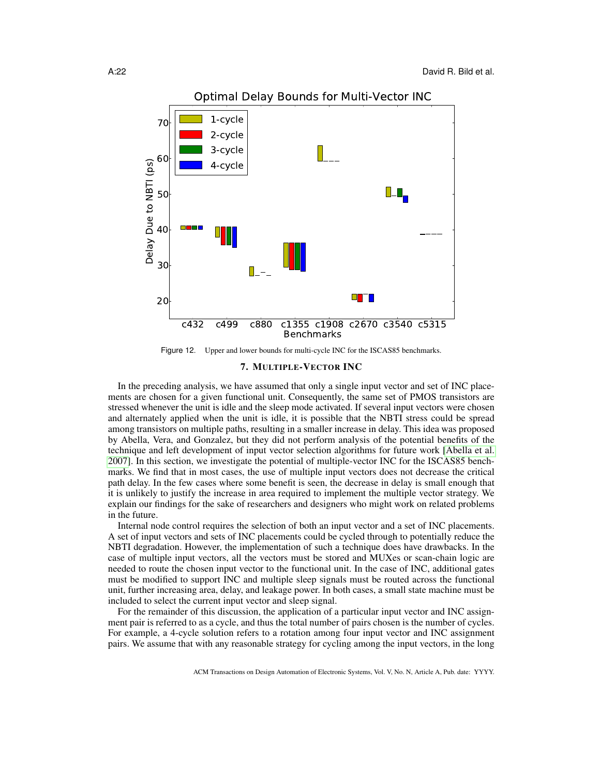

Figure 12. Upper and lower bounds for multi-cycle INC for the ISCAS85 benchmarks.

# <span id="page-21-1"></span>7. MULTIPLE-VECTOR INC

<span id="page-21-0"></span>In the preceding analysis, we have assumed that only a single input vector and set of INC placements are chosen for a given functional unit. Consequently, the same set of PMOS transistors are stressed whenever the unit is idle and the sleep mode activated. If several input vectors were chosen and alternately applied when the unit is idle, it is possible that the NBTI stress could be spread among transistors on multiple paths, resulting in a smaller increase in delay. This idea was proposed by Abella, Vera, and Gonzalez, but they did not perform analysis of the potential benefits of the technique and left development of input vector selection algorithms for future work [\[Abella et al.](#page-25-4) [2007\]](#page-25-4). In this section, we investigate the potential of multiple-vector INC for the ISCAS85 benchmarks. We find that in most cases, the use of multiple input vectors does not decrease the critical path delay. In the few cases where some benefit is seen, the decrease in delay is small enough that it is unlikely to justify the increase in area required to implement the multiple vector strategy. We explain our findings for the sake of researchers and designers who might work on related problems in the future.

Internal node control requires the selection of both an input vector and a set of INC placements. A set of input vectors and sets of INC placements could be cycled through to potentially reduce the NBTI degradation. However, the implementation of such a technique does have drawbacks. In the case of multiple input vectors, all the vectors must be stored and MUXes or scan-chain logic are needed to route the chosen input vector to the functional unit. In the case of INC, additional gates must be modified to support INC and multiple sleep signals must be routed across the functional unit, further increasing area, delay, and leakage power. In both cases, a small state machine must be included to select the current input vector and sleep signal.

For the remainder of this discussion, the application of a particular input vector and INC assignment pair is referred to as a cycle, and thus the total number of pairs chosen is the number of cycles. For example, a 4-cycle solution refers to a rotation among four input vector and INC assignment pairs. We assume that with any reasonable strategy for cycling among the input vectors, in the long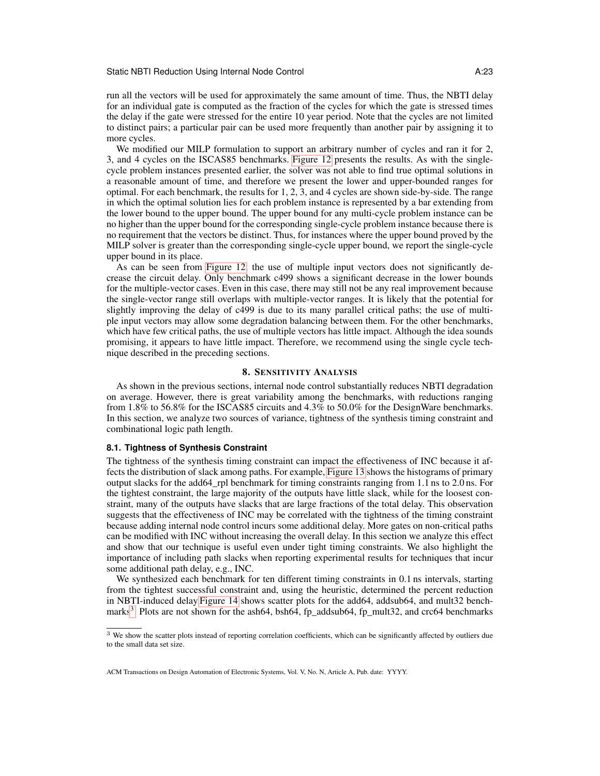# Static NBTI Reduction Using Internal Node Control **A:23** A:23

run all the vectors will be used for approximately the same amount of time. Thus, the NBTI delay for an individual gate is computed as the fraction of the cycles for which the gate is stressed times the delay if the gate were stressed for the entire 10 year period. Note that the cycles are not limited to distinct pairs; a particular pair can be used more frequently than another pair by assigning it to more cycles.

We modified our MILP formulation to support an arbitrary number of cycles and ran it for 2, 3, and 4 cycles on the ISCAS85 benchmarks. [Figure 12](#page-21-1) presents the results. As with the singlecycle problem instances presented earlier, the solver was not able to find true optimal solutions in a reasonable amount of time, and therefore we present the lower and upper-bounded ranges for optimal. For each benchmark, the results for 1, 2, 3, and 4 cycles are shown side-by-side. The range in which the optimal solution lies for each problem instance is represented by a bar extending from the lower bound to the upper bound. The upper bound for any multi-cycle problem instance can be no higher than the upper bound for the corresponding single-cycle problem instance because there is no requirement that the vectors be distinct. Thus, for instances where the upper bound proved by the MILP solver is greater than the corresponding single-cycle upper bound, we report the single-cycle upper bound in its place.

As can be seen from [Figure 12,](#page-21-1) the use of multiple input vectors does not significantly decrease the circuit delay. Only benchmark c499 shows a significant decrease in the lower bounds for the multiple-vector cases. Even in this case, there may still not be any real improvement because the single-vector range still overlaps with multiple-vector ranges. It is likely that the potential for slightly improving the delay of c499 is due to its many parallel critical paths; the use of multiple input vectors may allow some degradation balancing between them. For the other benchmarks, which have few critical paths, the use of multiple vectors has little impact. Although the idea sounds promising, it appears to have little impact. Therefore, we recommend using the single cycle technique described in the preceding sections.

# 8. SENSITIVITY ANALYSIS

<span id="page-22-0"></span>As shown in the previous sections, internal node control substantially reduces NBTI degradation on average. However, there is great variability among the benchmarks, with reductions ranging from 1.8% to 56.8% for the ISCAS85 circuits and 4.3% to 50.0% for the DesignWare benchmarks. In this section, we analyze two sources of variance, tightness of the synthesis timing constraint and combinational logic path length.

# **8.1. Tightness of Synthesis Constraint**

The tightness of the synthesis timing constraint can impact the effectiveness of INC because it affects the distribution of slack among paths. For example, [Figure 13](#page-23-0) shows the histograms of primary output slacks for the add64\_rpl benchmark for timing constraints ranging from 1.1 ns to 2.0 ns. For the tightest constraint, the large majority of the outputs have little slack, while for the loosest constraint, many of the outputs have slacks that are large fractions of the total delay. This observation suggests that the effectiveness of INC may be correlated with the tightness of the timing constraint because adding internal node control incurs some additional delay. More gates on non-critical paths can be modified with INC without increasing the overall delay. In this section we analyze this effect and show that our technique is useful even under tight timing constraints. We also highlight the importance of including path slacks when reporting experimental results for techniques that incur some additional path delay, e.g., INC.

We synthesized each benchmark for ten different timing constraints in 0.1 ns intervals, starting from the tightest successful constraint and, using the heuristic, determined the percent reduction in NBTI-induced delay[.Figure 14](#page-23-1) shows scatter plots for the add64, addsub64, and mult32 bench-marks<sup>[3](#page-22-1)</sup>. Plots are not shown for the ash64, bsh64, fp\_addsub64, fp\_mult32, and crc64 benchmarks

<span id="page-22-1"></span><sup>&</sup>lt;sup>3</sup> We show the scatter plots instead of reporting correlation coefficients, which can be significantly affected by outliers due to the small data set size.

ACM Transactions on Design Automation of Electronic Systems, Vol. V, No. N, Article A, Pub. date: YYYY.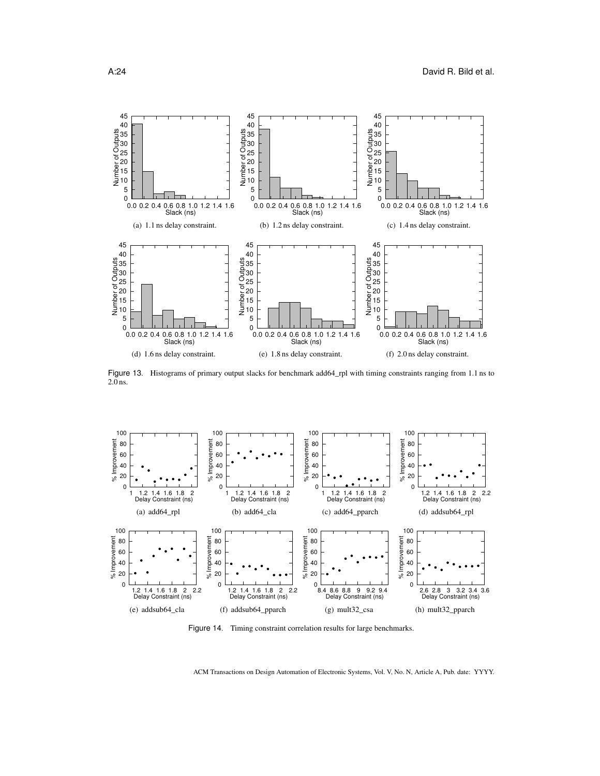

<span id="page-23-0"></span>Figure 13. Histograms of primary output slacks for benchmark add64\_rpl with timing constraints ranging from 1.1 ns to  $2.\overline{0}$  ns.



<span id="page-23-1"></span>Figure 14. Timing constraint correlation results for large benchmarks.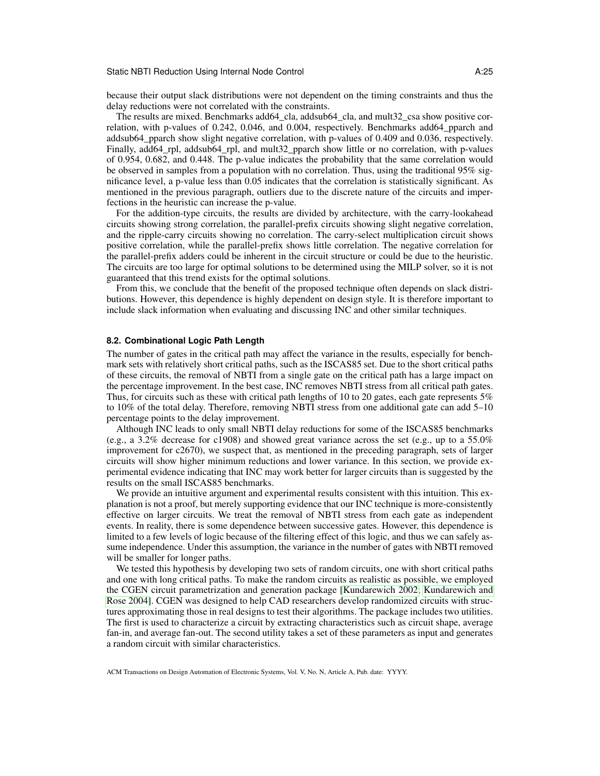because their output slack distributions were not dependent on the timing constraints and thus the delay reductions were not correlated with the constraints.

The results are mixed. Benchmarks add64\_cla, addsub64\_cla, and mult32\_csa show positive correlation, with p-values of 0.242, 0.046, and 0.004, respectively. Benchmarks add64\_pparch and addsub64\_pparch show slight negative correlation, with p-values of 0.409 and 0.036, respectively. Finally, add64\_rpl, addsub64\_rpl, and mult32\_pparch show little or no correlation, with p-values of 0.954, 0.682, and 0.448. The p-value indicates the probability that the same correlation would be observed in samples from a population with no correlation. Thus, using the traditional 95% significance level, a p-value less than 0.05 indicates that the correlation is statistically significant. As mentioned in the previous paragraph, outliers due to the discrete nature of the circuits and imperfections in the heuristic can increase the p-value.

For the addition-type circuits, the results are divided by architecture, with the carry-lookahead circuits showing strong correlation, the parallel-prefix circuits showing slight negative correlation, and the ripple-carry circuits showing no correlation. The carry-select multiplication circuit shows positive correlation, while the parallel-prefix shows little correlation. The negative correlation for the parallel-prefix adders could be inherent in the circuit structure or could be due to the heuristic. The circuits are too large for optimal solutions to be determined using the MILP solver, so it is not guaranteed that this trend exists for the optimal solutions.

From this, we conclude that the benefit of the proposed technique often depends on slack distributions. However, this dependence is highly dependent on design style. It is therefore important to include slack information when evaluating and discussing INC and other similar techniques.

#### **8.2. Combinational Logic Path Length**

The number of gates in the critical path may affect the variance in the results, especially for benchmark sets with relatively short critical paths, such as the ISCAS85 set. Due to the short critical paths of these circuits, the removal of NBTI from a single gate on the critical path has a large impact on the percentage improvement. In the best case, INC removes NBTI stress from all critical path gates. Thus, for circuits such as these with critical path lengths of 10 to 20 gates, each gate represents 5% to 10% of the total delay. Therefore, removing NBTI stress from one additional gate can add 5–10 percentage points to the delay improvement.

Although INC leads to only small NBTI delay reductions for some of the ISCAS85 benchmarks (e.g., a 3.2% decrease for c1908) and showed great variance across the set (e.g., up to a 55.0% improvement for c2670), we suspect that, as mentioned in the preceding paragraph, sets of larger circuits will show higher minimum reductions and lower variance. In this section, we provide experimental evidence indicating that INC may work better for larger circuits than is suggested by the results on the small ISCAS85 benchmarks.

We provide an intuitive argument and experimental results consistent with this intuition. This explanation is not a proof, but merely supporting evidence that our INC technique is more-consistently effective on larger circuits. We treat the removal of NBTI stress from each gate as independent events. In reality, there is some dependence between successive gates. However, this dependence is limited to a few levels of logic because of the filtering effect of this logic, and thus we can safely assume independence. Under this assumption, the variance in the number of gates with NBTI removed will be smaller for longer paths.

We tested this hypothesis by developing two sets of random circuits, one with short critical paths and one with long critical paths. To make the random circuits as realistic as possible, we employed the CGEN circuit parametrization and generation package [\[Kundarewich 2002;](#page-26-25) [Kundarewich and](#page-26-26) [Rose 2004\]](#page-26-26). CGEN was designed to help CAD researchers develop randomized circuits with structures approximating those in real designs to test their algorithms. The package includes two utilities. The first is used to characterize a circuit by extracting characteristics such as circuit shape, average fan-in, and average fan-out. The second utility takes a set of these parameters as input and generates a random circuit with similar characteristics.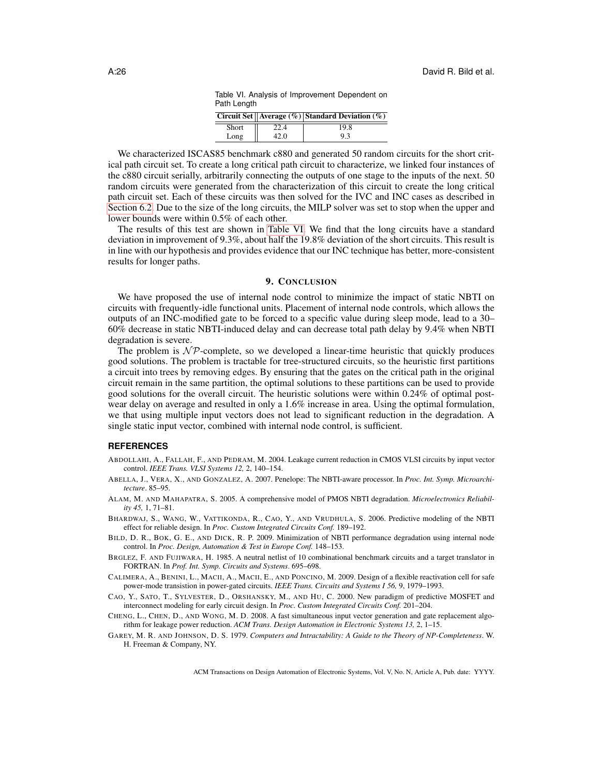| Path Length |      |                                                     |  |  |  |
|-------------|------|-----------------------------------------------------|--|--|--|
|             |      | Circuit Set    Average (%)   Standard Deviation (%) |  |  |  |
| Short       | 22.4 | 19.8                                                |  |  |  |
| Long        | 42.0 | 93                                                  |  |  |  |

Table VI. Analysis of Improvement Dependent on Path Length

<span id="page-25-10"></span>We characterized ISCAS85 benchmark c880 and generated 50 random circuits for the short critical path circuit set. To create a long critical path circuit to characterize, we linked four instances of the c880 circuit serially, arbitrarily connecting the outputs of one stage to the inputs of the next. 50 random circuits were generated from the characterization of this circuit to create the long critical path circuit set. Each of these circuits was then solved for the IVC and INC cases as described in [Section 6.2.](#page-17-0) Due to the size of the long circuits, the MILP solver was set to stop when the upper and lower bounds were within 0.5% of each other.

The results of this test are shown in [Table VI.](#page-25-10) We find that the long circuits have a standard deviation in improvement of 9.3%, about half the 19.8% deviation of the short circuits. This result is in line with our hypothesis and provides evidence that our INC technique has better, more-consistent results for longer paths.

#### 9. CONCLUSION

We have proposed the use of internal node control to minimize the impact of static NBTI on circuits with frequently-idle functional units. Placement of internal node controls, which allows the outputs of an INC-modified gate to be forced to a specific value during sleep mode, lead to a 30– 60% decrease in static NBTI-induced delay and can decrease total path delay by 9.4% when NBTI degradation is severe.

The problem is  $N \mathcal{P}$ -complete, so we developed a linear-time heuristic that quickly produces good solutions. The problem is tractable for tree-structured circuits, so the heuristic first partitions a circuit into trees by removing edges. By ensuring that the gates on the critical path in the original circuit remain in the same partition, the optimal solutions to these partitions can be used to provide good solutions for the overall circuit. The heuristic solutions were within 0.24% of optimal postwear delay on average and resulted in only a 1.6% increase in area. Using the optimal formulation, we that using multiple input vectors does not lead to significant reduction in the degradation. A single static input vector, combined with internal node control, is sufficient.

# **REFERENCES**

- <span id="page-25-6"></span>ABDOLLAHI, A., FALLAH, F., AND PEDRAM, M. 2004. Leakage current reduction in CMOS VLSI circuits by input vector control. *IEEE Trans. VLSI Systems 12,* 2, 140–154.
- <span id="page-25-4"></span>ABELLA, J., VERA, X., AND GONZALEZ, A. 2007. Penelope: The NBTI-aware processor. In *Proc. Int. Symp. Microarchitecture*. 85–95.
- <span id="page-25-0"></span>ALAM, M. AND MAHAPATRA, S. 2005. A comprehensive model of PMOS NBTI degradation. *Microelectronics Reliability 45,* 1, 71–81.
- <span id="page-25-3"></span>BHARDWAJ, S., WANG, W., VATTIKONDA, R., CAO, Y., AND VRUDHULA, S. 2006. Predictive modeling of the NBTI effect for reliable design. In *Proc. Custom Integrated Circuits Conf.* 189–192.
- <span id="page-25-1"></span>BILD, D. R., BOK, G. E., AND DICK, R. P. 2009. Minimization of NBTI performance degradation using internal node control. In *Proc. Design, Automation & Test in Europe Conf.* 148–153.
- <span id="page-25-2"></span>BRGLEZ, F. AND FUJIWARA, H. 1985. A neutral netlist of 10 combinational benchmark circuits and a target translator in FORTRAN. In *Prof. Int. Symp. Circuits and Systems*. 695–698.
- <span id="page-25-5"></span>CALIMERA, A., BENINI, L., MACII, A., MACII, E., AND PONCINO, M. 2009. Design of a flexible reactivation cell for safe power-mode transistion in power-gated circuits. *IEEE Trans. Circuits and Systems I 56,* 9, 1979–1993.
- <span id="page-25-7"></span>CAO, Y., SATO, T., SYLVESTER, D., ORSHANSKY, M., AND HU, C. 2000. New paradigm of predictive MOSFET and interconnect modeling for early circuit design. In *Proc. Custom Integrated Circuits Conf.* 201–204.
- <span id="page-25-9"></span>CHENG, L., CHEN, D., AND WONG, M. D. 2008. A fast simultaneous input vector generation and gate replacement algorithm for leakage power reduction. *ACM Trans. Design Automation in Electronic Systems 13,* 2, 1–15.
- <span id="page-25-8"></span>GAREY, M. R. AND JOHNSON, D. S. 1979. *Computers and Intractability: A Guide to the Theory of NP-Completeness*. W. H. Freeman & Company, NY.